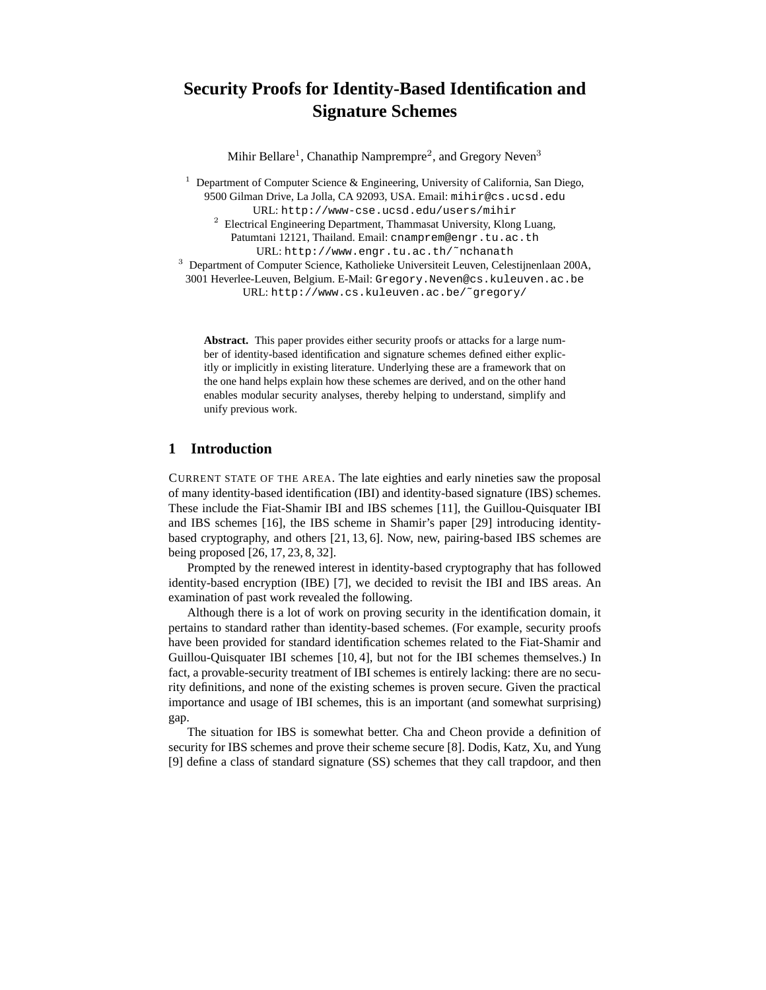# **Security Proofs for Identity-Based Identification and Signature Schemes**

Mihir Bellare<sup>1</sup>, Chanathip Namprempre<sup>2</sup>, and Gregory Neven<sup>3</sup>

<sup>1</sup> Department of Computer Science & Engineering, University of California, San Diego, 9500 Gilman Drive, La Jolla, CA 92093, USA. Email: mihir@cs.ucsd.edu URL: http://www-cse.ucsd.edu/users/mihir

 $2$  Electrical Engineering Department, Thammasat University, Klong Luang, Patumtani 12121, Thailand. Email: cnamprem@engr.tu.ac.th URL: http://www.engr.tu.ac.th/˜nchanath

<sup>3</sup> Department of Computer Science, Katholieke Universiteit Leuven, Celestijnenlaan 200A,

3001 Heverlee-Leuven, Belgium. E-Mail: Gregory.Neven@cs.kuleuven.ac.be URL: http://www.cs.kuleuven.ac.be/˜gregory/

**Abstract.** This paper provides either security proofs or attacks for a large number of identity-based identification and signature schemes defined either explicitly or implicitly in existing literature. Underlying these are a framework that on the one hand helps explain how these schemes are derived, and on the other hand enables modular security analyses, thereby helping to understand, simplify and unify previous work.

## **1 Introduction**

CURRENT STATE OF THE AREA. The late eighties and early nineties saw the proposal of many identity-based identification (IBI) and identity-based signature (IBS) schemes. These include the Fiat-Shamir IBI and IBS schemes [11], the Guillou-Quisquater IBI and IBS schemes [16], the IBS scheme in Shamir's paper [29] introducing identitybased cryptography, and others [21, 13, 6]. Now, new, pairing-based IBS schemes are being proposed [26, 17, 23, 8, 32].

Prompted by the renewed interest in identity-based cryptography that has followed identity-based encryption (IBE) [7], we decided to revisit the IBI and IBS areas. An examination of past work revealed the following.

Although there is a lot of work on proving security in the identification domain, it pertains to standard rather than identity-based schemes. (For example, security proofs have been provided for standard identification schemes related to the Fiat-Shamir and Guillou-Quisquater IBI schemes [10, 4], but not for the IBI schemes themselves.) In fact, a provable-security treatment of IBI schemes is entirely lacking: there are no security definitions, and none of the existing schemes is proven secure. Given the practical importance and usage of IBI schemes, this is an important (and somewhat surprising) gap.

The situation for IBS is somewhat better. Cha and Cheon provide a definition of security for IBS schemes and prove their scheme secure [8]. Dodis, Katz, Xu, and Yung [9] define a class of standard signature (SS) schemes that they call trapdoor, and then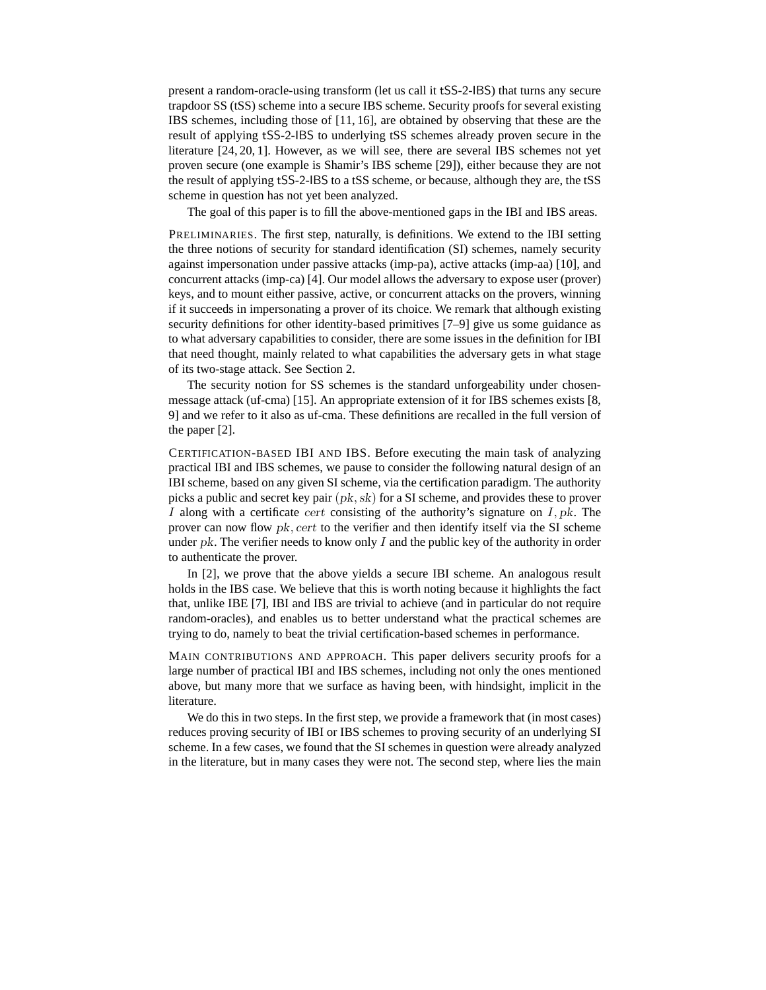present a random-oracle-using transform (let us call it tSS-2-IBS) that turns any secure trapdoor SS (tSS) scheme into a secure IBS scheme. Security proofs for several existing IBS schemes, including those of [11, 16], are obtained by observing that these are the result of applying tSS-2-IBS to underlying tSS schemes already proven secure in the literature [24, 20, 1]. However, as we will see, there are several IBS schemes not yet proven secure (one example is Shamir's IBS scheme [29]), either because they are not the result of applying tSS-2-IBS to a tSS scheme, or because, although they are, the tSS scheme in question has not yet been analyzed.

The goal of this paper is to fill the above-mentioned gaps in the IBI and IBS areas.

PRELIMINARIES. The first step, naturally, is definitions. We extend to the IBI setting the three notions of security for standard identification (SI) schemes, namely security against impersonation under passive attacks (imp-pa), active attacks (imp-aa) [10], and concurrent attacks (imp-ca) [4]. Our model allows the adversary to expose user (prover) keys, and to mount either passive, active, or concurrent attacks on the provers, winning if it succeeds in impersonating a prover of its choice. We remark that although existing security definitions for other identity-based primitives [7–9] give us some guidance as to what adversary capabilities to consider, there are some issues in the definition for IBI that need thought, mainly related to what capabilities the adversary gets in what stage of its two-stage attack. See Section 2.

The security notion for SS schemes is the standard unforgeability under chosenmessage attack (uf-cma) [15]. An appropriate extension of it for IBS schemes exists [8, 9] and we refer to it also as uf-cma. These definitions are recalled in the full version of the paper [2].

CERTIFICATION-BASED IBI AND IBS. Before executing the main task of analyzing practical IBI and IBS schemes, we pause to consider the following natural design of an IBI scheme, based on any given SI scheme, via the certification paradigm. The authority picks a public and secret key pair  $(pk, sk)$  for a SI scheme, and provides these to prover I along with a certificate cert consisting of the authority's signature on  $I, pk$ . The prover can now flow  $pk$ , cert to the verifier and then identify itself via the SI scheme under  $pk$ . The verifier needs to know only  $I$  and the public key of the authority in order to authenticate the prover.

In [2], we prove that the above yields a secure IBI scheme. An analogous result holds in the IBS case. We believe that this is worth noting because it highlights the fact that, unlike IBE [7], IBI and IBS are trivial to achieve (and in particular do not require random-oracles), and enables us to better understand what the practical schemes are trying to do, namely to beat the trivial certification-based schemes in performance.

MAIN CONTRIBUTIONS AND APPROACH. This paper delivers security proofs for a large number of practical IBI and IBS schemes, including not only the ones mentioned above, but many more that we surface as having been, with hindsight, implicit in the literature.

We do this in two steps. In the first step, we provide a framework that (in most cases) reduces proving security of IBI or IBS schemes to proving security of an underlying SI scheme. In a few cases, we found that the SI schemes in question were already analyzed in the literature, but in many cases they were not. The second step, where lies the main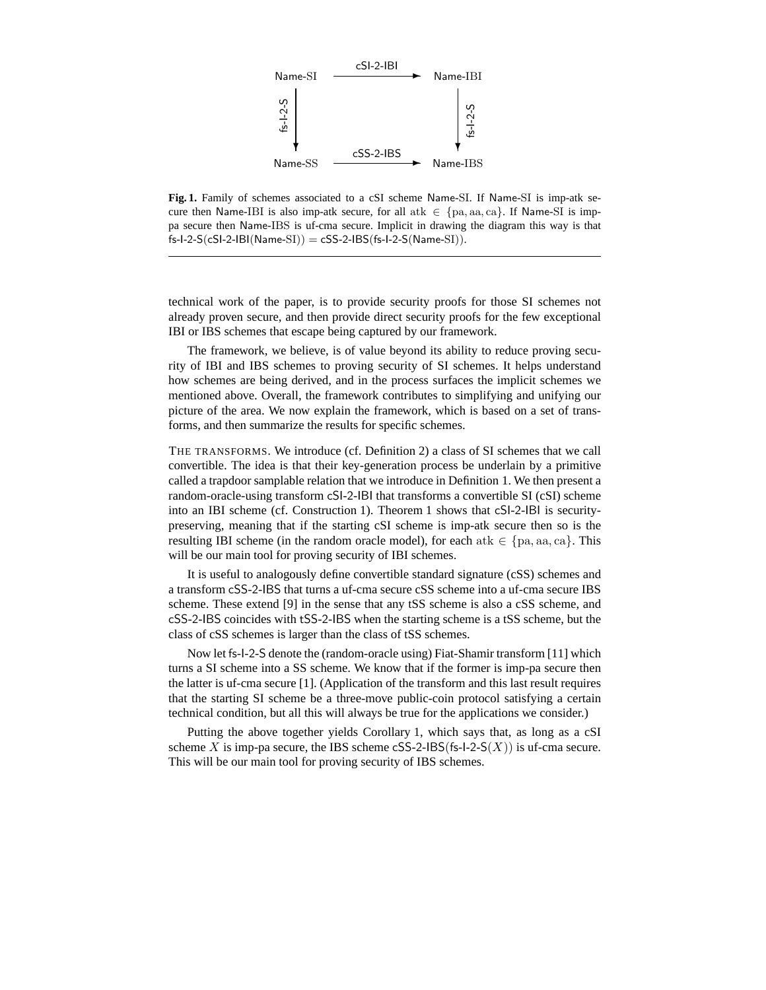

**Fig. 1.** Family of schemes associated to a cSI scheme Name-SI. If Name-SI is imp-atk secure then Name-IBI is also imp-atk secure, for all atk  $\in \{pa, aa, ca\}$ . If Name-SI is imppa secure then Name-IBS is uf-cma secure. Implicit in drawing the diagram this way is that  $fs-I-2-S(cSI-2-IBI(Name-SI)) = cSS-2-IBS(fs-I-2-S(Name-SI)).$ 

technical work of the paper, is to provide security proofs for those SI schemes not already proven secure, and then provide direct security proofs for the few exceptional IBI or IBS schemes that escape being captured by our framework.

The framework, we believe, is of value beyond its ability to reduce proving security of IBI and IBS schemes to proving security of SI schemes. It helps understand how schemes are being derived, and in the process surfaces the implicit schemes we mentioned above. Overall, the framework contributes to simplifying and unifying our picture of the area. We now explain the framework, which is based on a set of transforms, and then summarize the results for specific schemes.

THE TRANSFORMS. We introduce (cf. Definition 2) a class of SI schemes that we call convertible. The idea is that their key-generation process be underlain by a primitive called a trapdoor samplable relation that we introduce in Definition 1. We then present a random-oracle-using transform cSI-2-IBI that transforms a convertible SI (cSI) scheme into an IBI scheme (cf. Construction 1). Theorem 1 shows that cSI-2-IBI is securitypreserving, meaning that if the starting cSI scheme is imp-atk secure then so is the resulting IBI scheme (in the random oracle model), for each at  $k \in \{pa, aa, ca\}$ . This will be our main tool for proving security of IBI schemes.

It is useful to analogously define convertible standard signature (cSS) schemes and a transform cSS-2-IBS that turns a uf-cma secure cSS scheme into a uf-cma secure IBS scheme. These extend [9] in the sense that any tSS scheme is also a cSS scheme, and cSS-2-IBS coincides with tSS-2-IBS when the starting scheme is a tSS scheme, but the class of cSS schemes is larger than the class of tSS schemes.

Now let fs-I-2-S denote the (random-oracle using) Fiat-Shamir transform [11] which turns a SI scheme into a SS scheme. We know that if the former is imp-pa secure then the latter is uf-cma secure [1]. (Application of the transform and this last result requires that the starting SI scheme be a three-move public-coin protocol satisfying a certain technical condition, but all this will always be true for the applications we consider.)

Putting the above together yields Corollary 1, which says that, as long as a cSI scheme X is imp-pa secure, the IBS scheme cSS-2-IBS(fs-I-2-S $(X)$ ) is uf-cma secure. This will be our main tool for proving security of IBS schemes.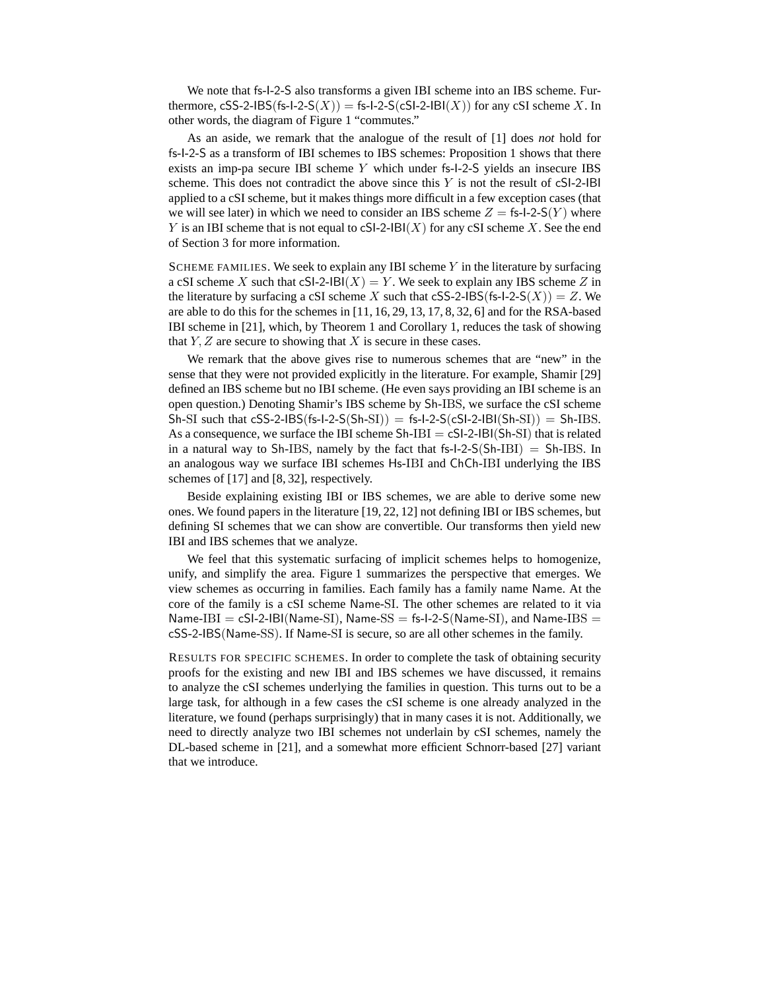We note that fs-I-2-S also transforms a given IBI scheme into an IBS scheme. Furthermore, cSS-2-IBS(fs-I-2-S(X)) = fs-I-2-S(cSI-2-IBI(X)) for any cSI scheme X. In other words, the diagram of Figure 1 "commutes."

As an aside, we remark that the analogue of the result of [1] does *not* hold for fs-I-2-S as a transform of IBI schemes to IBS schemes: Proposition 1 shows that there exists an imp-pa secure IBI scheme Y which under fs-I-2-S yields an insecure IBS scheme. This does not contradict the above since this  $Y$  is not the result of  $cS1-2-1B1$ applied to a cSI scheme, but it makes things more difficult in a few exception cases (that we will see later) in which we need to consider an IBS scheme  $Z = \text{fs-l-2-S}(Y)$  where Y is an IBI scheme that is not equal to  $cS1-2-IBI(X)$  for any  $cSI$  scheme X. See the end of Section 3 for more information.

SCHEME FAMILIES. We seek to explain any IBI scheme  $Y$  in the literature by surfacing a cSI scheme X such that cSI-2-IBI(X) = Y. We seek to explain any IBS scheme Z in the literature by surfacing a cSI scheme X such that cSS-2-IBS(fs-I-2-S(X)) = Z. We are able to do this for the schemes in [11, 16, 29, 13, 17, 8, 32, 6] and for the RSA-based IBI scheme in [21], which, by Theorem 1 and Corollary 1, reduces the task of showing that  $Y, Z$  are secure to showing that  $X$  is secure in these cases.

We remark that the above gives rise to numerous schemes that are "new" in the sense that they were not provided explicitly in the literature. For example, Shamir [29] defined an IBS scheme but no IBI scheme. (He even says providing an IBI scheme is an open question.) Denoting Shamir's IBS scheme by Sh-IBS, we surface the cSI scheme  $Sh-SI$  such that  $cSS-2-IBS(fs-I-2-S(Sh-SI)) = fs-I-2-S(cSI-2-IBI(Sh-SI)) = Sh-IBS.$ As a consequence, we surface the IBI scheme  $Sh-IBI = cSI-2-IBI(Sh-SI)$  that is related in a natural way to Sh-IBS, namely by the fact that  $fs-I-2-S(Sh-IBI) = Sh-IBS$ . In an analogous way we surface IBI schemes Hs-IBI and ChCh-IBI underlying the IBS schemes of [17] and [8, 32], respectively.

Beside explaining existing IBI or IBS schemes, we are able to derive some new ones. We found papers in the literature [19, 22, 12] not defining IBI or IBS schemes, but defining SI schemes that we can show are convertible. Our transforms then yield new IBI and IBS schemes that we analyze.

We feel that this systematic surfacing of implicit schemes helps to homogenize, unify, and simplify the area. Figure 1 summarizes the perspective that emerges. We view schemes as occurring in families. Each family has a family name Name. At the core of the family is a cSI scheme Name-SI. The other schemes are related to it via  $Name-IBI = cSI-2-IBI(Name-SI), Name-SS = fs-1-2-S(Name-SI), and Name-IBS =$ cSS-2-IBS(Name-SS). If Name-SI is secure, so are all other schemes in the family.

RESULTS FOR SPECIFIC SCHEMES. In order to complete the task of obtaining security proofs for the existing and new IBI and IBS schemes we have discussed, it remains to analyze the cSI schemes underlying the families in question. This turns out to be a large task, for although in a few cases the cSI scheme is one already analyzed in the literature, we found (perhaps surprisingly) that in many cases it is not. Additionally, we need to directly analyze two IBI schemes not underlain by cSI schemes, namely the DL-based scheme in [21], and a somewhat more efficient Schnorr-based [27] variant that we introduce.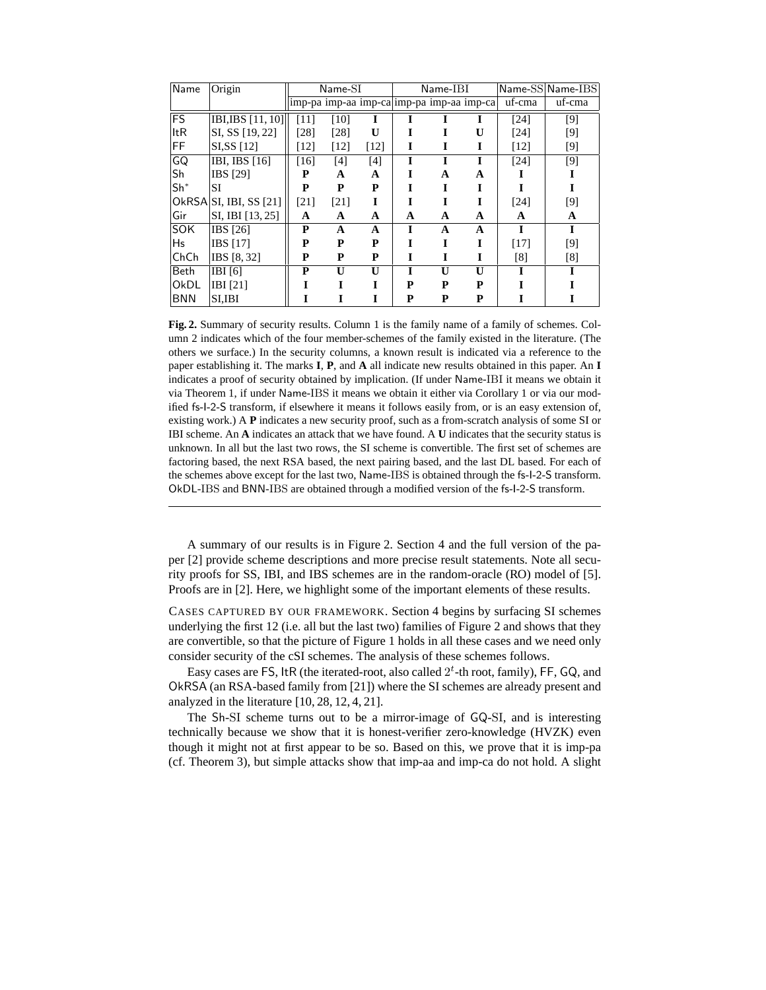| Name       | Origin                 | $Name-SI$                                 |              | Name-IBI     |   |              |              | Name-SS Name-IBS |        |
|------------|------------------------|-------------------------------------------|--------------|--------------|---|--------------|--------------|------------------|--------|
|            |                        | imp-pa imp-aa imp-ca imp-pa imp-aa imp-ca |              |              |   |              |              | uf-cma           | uf-cma |
| <b>FS</b>  | IBI, IBS [11, 10]      | [11]                                      | [10]         |              |   |              |              | [24]             | $[9]$  |
| <b>ItR</b> | SI, SS [19, 22]        | [28]                                      | [28]         | $\mathbf{U}$ |   |              | $\mathbf{U}$ | [24]             | [9]    |
| FF         | SI, SS [12]            | $[12]$                                    | [12]         | $[12]$       | I | I            | I            | [12]             | [9]    |
| GQ         | IBI, IBS [16]          | [16]                                      | [4]          | [4]          |   |              |              | [24]             | [9]    |
| Sh         | IBS [29]               | P                                         | A            | A            | T | A            | A            |                  |        |
| $Sh^*$     | <b>SI</b>              | P                                         | P            | P            |   |              |              |                  |        |
|            | OkRSA SI, IBI, SS [21] | [21]                                      | [21]         | I            |   |              |              | [24]             | $[9]$  |
| Gir        | SI, IBI [13, 25]       | A                                         | A            | A            | A | A            | A            | A                | A      |
| <b>SOK</b> | $\overline{IBS}$ [26]  | P                                         | A            | A            |   | A            | A            |                  | I      |
| Hs         | <b>IBS</b> [17]        | P                                         | P            | P            |   | T            | I            | [17]             | [9]    |
| ChCh       | <b>IBS</b> [8, 32]     | P                                         | P            | P            | I | I            | I            | [8]              | [8]    |
| Beth       | IBI[6]                 | P                                         | $\mathbf{U}$ | $\mathbf{U}$ | I | $\mathbf{U}$ | $\mathbf{U}$ |                  |        |
| OkDL       | IBI [21]               |                                           |              |              | P | P            | P            |                  |        |
| <b>BNN</b> | <b>SI,IBI</b>          |                                           |              |              | P | P            | P            |                  |        |

Fig. 2. Summary of security results. Column 1 is the family name of a family of schemes. Column 2 indicates which of the four member-schemes of the family existed in the literature. (The others we surface.) In the security columns, a known result is indicated via a reference to the paper establishing it. The marks **I**, **P**, and **A** all indicate new results obtained in this paper. An **I** indicates a proof of security obtained by implication. (If under Name-IBI it means we obtain it via Theorem 1, if under Name-IBS it means we obtain it either via Corollary 1 or via our modified fs-I-2-S transform, if elsewhere it means it follows easily from, or is an easy extension of, existing work.) A **P** indicates a new security proof, such as a from-scratch analysis of some SI or IBI scheme. An **A** indicates an attack that we have found. A **U** indicates that the security status is unknown. In all but the last two rows, the SI scheme is convertible. The first set of schemes are factoring based, the next RSA based, the next pairing based, and the last DL based. For each of the schemes above except for the last two, Name-IBS is obtained through the fs-I-2-S transform. OkDL-IBS and BNN-IBS are obtained through a modified version of the fs-I-2-S transform.

A summary of our results is in Figure 2. Section 4 and the full version of the paper [2] provide scheme descriptions and more precise result statements. Note all security proofs for SS, IBI, and IBS schemes are in the random-oracle (RO) model of [5]. Proofs are in [2]. Here, we highlight some of the important elements of these results.

CASES CAPTURED BY OUR FRAMEWORK. Section 4 begins by surfacing SI schemes underlying the first 12 (i.e. all but the last two) families of Figure 2 and shows that they are convertible, so that the picture of Figure 1 holds in all these cases and we need only consider security of the cSI schemes. The analysis of these schemes follows.

Easy cases are FS, ltR (the iterated-root, also called  $2<sup>t</sup>$ -th root, family), FF, GQ, and OkRSA (an RSA-based family from [21]) where the SI schemes are already present and analyzed in the literature [10, 28, 12, 4, 21].

The Sh-SI scheme turns out to be a mirror-image of GQ-SI, and is interesting technically because we show that it is honest-verifier zero-knowledge (HVZK) even though it might not at first appear to be so. Based on this, we prove that it is imp-pa (cf. Theorem 3), but simple attacks show that imp-aa and imp-ca do not hold. A slight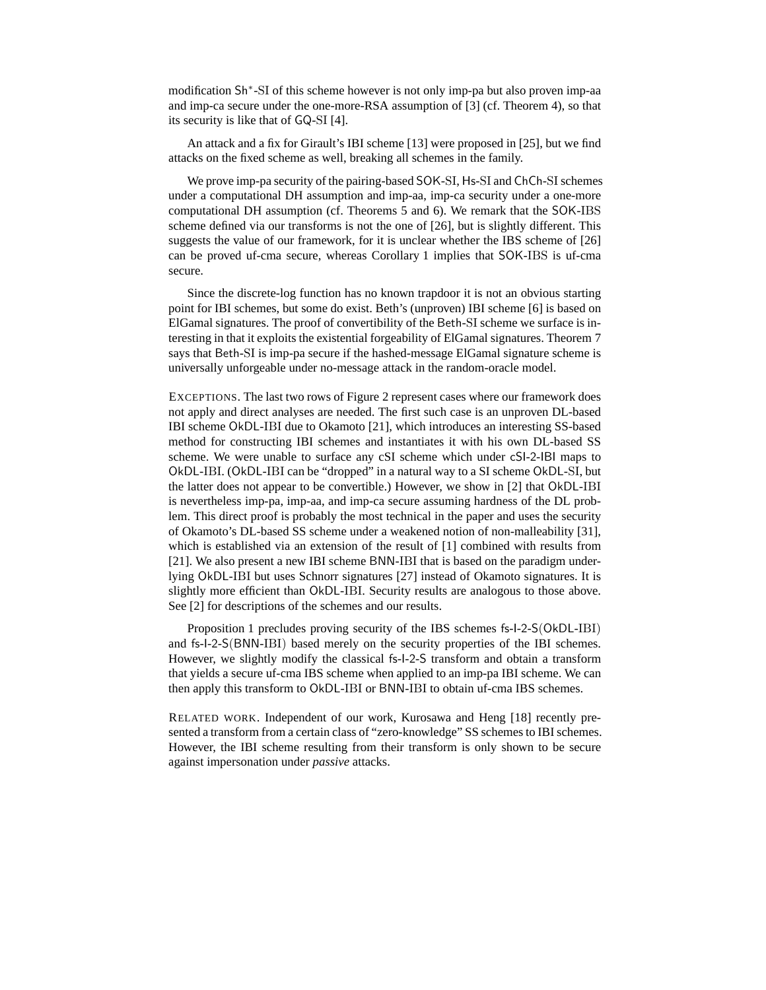modification Sh<sup>∗</sup> -SI of this scheme however is not only imp-pa but also proven imp-aa and imp-ca secure under the one-more-RSA assumption of [3] (cf. Theorem 4), so that its security is like that of GQ-SI [4].

An attack and a fix for Girault's IBI scheme [13] were proposed in [25], but we find attacks on the fixed scheme as well, breaking all schemes in the family.

We prove imp-pa security of the pairing-based SOK-SI, Hs-SI and ChCh-SI schemes under a computational DH assumption and imp-aa, imp-ca security under a one-more computational DH assumption (cf. Theorems 5 and 6). We remark that the SOK-IBS scheme defined via our transforms is not the one of [26], but is slightly different. This suggests the value of our framework, for it is unclear whether the IBS scheme of [26] can be proved uf-cma secure, whereas Corollary 1 implies that SOK-IBS is uf-cma secure.

Since the discrete-log function has no known trapdoor it is not an obvious starting point for IBI schemes, but some do exist. Beth's (unproven) IBI scheme [6] is based on ElGamal signatures. The proof of convertibility of the Beth-SI scheme we surface is interesting in that it exploits the existential forgeability of ElGamal signatures. Theorem 7 says that Beth-SI is imp-pa secure if the hashed-message ElGamal signature scheme is universally unforgeable under no-message attack in the random-oracle model.

EXCEPTIONS. The last two rows of Figure 2 represent cases where our framework does not apply and direct analyses are needed. The first such case is an unproven DL-based IBI scheme OkDL-IBI due to Okamoto [21], which introduces an interesting SS-based method for constructing IBI schemes and instantiates it with his own DL-based SS scheme. We were unable to surface any cSI scheme which under cSI-2-IBI maps to OkDL-IBI. (OkDL-IBI can be "dropped" in a natural way to a SI scheme OkDL-SI, but the latter does not appear to be convertible.) However, we show in [2] that OkDL-IBI is nevertheless imp-pa, imp-aa, and imp-ca secure assuming hardness of the DL problem. This direct proof is probably the most technical in the paper and uses the security of Okamoto's DL-based SS scheme under a weakened notion of non-malleability [31], which is established via an extension of the result of [1] combined with results from [21]. We also present a new IBI scheme BNN-IBI that is based on the paradigm underlying OkDL-IBI but uses Schnorr signatures [27] instead of Okamoto signatures. It is slightly more efficient than OkDL-IBI. Security results are analogous to those above. See [2] for descriptions of the schemes and our results.

Proposition 1 precludes proving security of the IBS schemes fs-I-2-S(OkDL-IBI) and fs-I-2-S(BNN-IBI) based merely on the security properties of the IBI schemes. However, we slightly modify the classical fs-I-2-S transform and obtain a transform that yields a secure uf-cma IBS scheme when applied to an imp-pa IBI scheme. We can then apply this transform to OkDL-IBI or BNN-IBI to obtain uf-cma IBS schemes.

RELATED WORK. Independent of our work, Kurosawa and Heng [18] recently presented a transform from a certain class of "zero-knowledge" SS schemes to IBI schemes. However, the IBI scheme resulting from their transform is only shown to be secure against impersonation under *passive* attacks.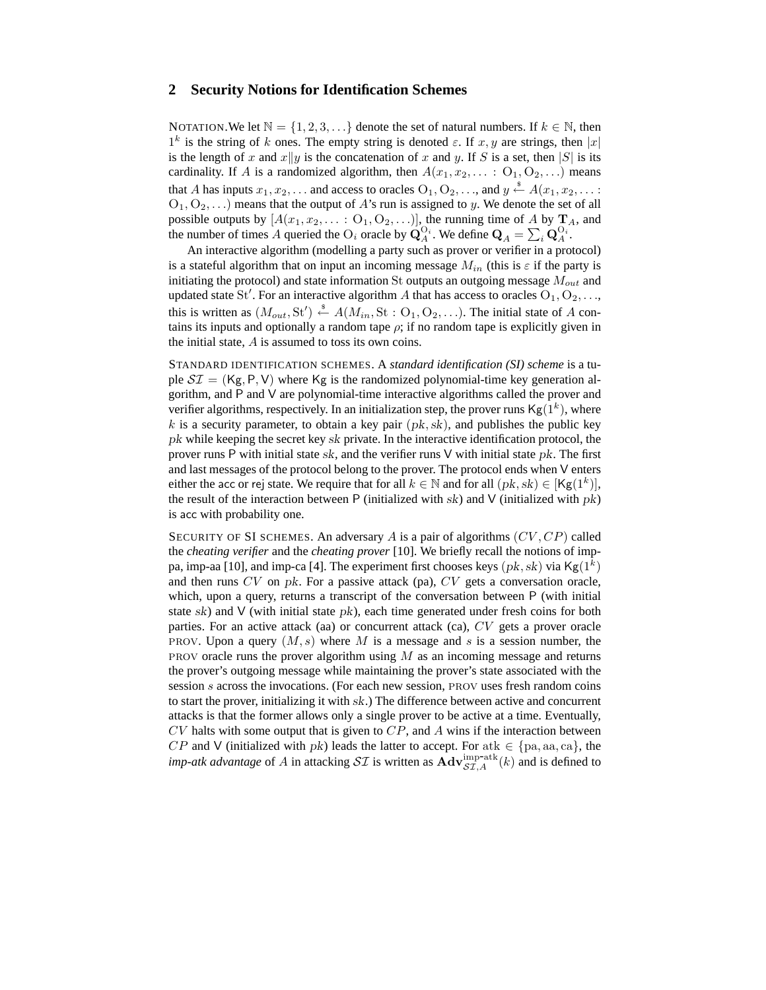## **2 Security Notions for Identification Schemes**

NOTATION. We let  $\mathbb{N} = \{1, 2, 3, \ldots\}$  denote the set of natural numbers. If  $k \in \mathbb{N}$ , then  $1^k$  is the string of k ones. The empty string is denoted  $\varepsilon$ . If  $x, y$  are strings, then  $|x|$ is the length of x and  $x||y$  is the concatenation of x and y. If S is a set, then |S| is its cardinality. If A is a randomized algorithm, then  $A(x_1, x_2, \dots : O_1, O_2, \dots)$  means that A has inputs  $x_1, x_2, \ldots$  and access to oracles  $O_1, O_2, \ldots$ , and  $y \stackrel{\$}{\leftarrow} A(x_1, x_2, \ldots)$  $O_1, O_2, \ldots$ ) means that the output of A's run is assigned to y. We denote the set of all possible outputs by  $[A(x_1, x_2, \dots : O_1, O_2, \dots)],$  the running time of A by  $\mathbf{T}_A$ , and the number of times A queried the O<sub>i</sub> oracle by  $\mathbf{Q}_A^{O_i}$ . We define  $\mathbf{Q}_A = \sum_i \mathbf{Q}_A^{O_i}$ .

An interactive algorithm (modelling a party such as prover or verifier in a protocol) is a stateful algorithm that on input an incoming message  $M_{in}$  (this is  $\varepsilon$  if the party is initiating the protocol) and state information St outputs an outgoing message  $M_{out}$  and updated state St'. For an interactive algorithm A that has access to oracles  $O_1, O_2, \ldots$ this is written as  $(M_{out}, \text{St}') \overset{\text{s}}{\leftarrow} A(M_{in}, \text{St} : \text{O}_1, \text{O}_2, \ldots)$ . The initial state of A contains its inputs and optionally a random tape  $\rho$ ; if no random tape is explicitly given in the initial state, A is assumed to toss its own coins.

STANDARD IDENTIFICATION SCHEMES. A *standard identification (SI) scheme* is a tuple  $ST = (Kg, P, V)$  where Kg is the randomized polynomial-time key generation algorithm, and P and V are polynomial-time interactive algorithms called the prover and verifier algorithms, respectively. In an initialization step, the prover runs  $\mathsf{Kg}(1^k)$ , where k is a security parameter, to obtain a key pair  $(pk, sk)$ , and publishes the public key pk while keeping the secret key sk private. In the interactive identification protocol, the prover runs P with initial state  $sk$ , and the verifier runs V with initial state  $pk$ . The first and last messages of the protocol belong to the prover. The protocol ends when V enters either the acc or rej state. We require that for all  $k \in \mathbb{N}$  and for all  $(pk, sk) \in [Kg(1^k)],$ the result of the interaction between P (initialized with sk) and V (initialized with  $pk$ ) is acc with probability one.

SECURITY OF SI SCHEMES. An adversary A is a pair of algorithms  $(CV, CP)$  called the *cheating verifier* and the *cheating prover* [10]. We briefly recall the notions of imppa, imp-aa [10], and imp-ca [4]. The experiment first chooses keys  $(pk, sk)$  via Kg $(1^k)$ and then runs  $CV$  on  $pk$ . For a passive attack (pa),  $CV$  gets a conversation oracle, which, upon a query, returns a transcript of the conversation between P (with initial state  $sk$ ) and V (with initial state  $pk$ ), each time generated under fresh coins for both parties. For an active attack (aa) or concurrent attack (ca), CV gets a prover oracle PROV. Upon a query  $(M, s)$  where M is a message and s is a session number, the PROV oracle runs the prover algorithm using  $M$  as an incoming message and returns the prover's outgoing message while maintaining the prover's state associated with the session s across the invocations. (For each new session, PROV uses fresh random coins to start the prover, initializing it with sk.) The difference between active and concurrent attacks is that the former allows only a single prover to be active at a time. Eventually,  $CV$  halts with some output that is given to  $CP$ , and A wins if the interaction between CP and V (initialized with pk) leads the latter to accept. For atk  $\in \{pa, aa, ca\}$ , the *imp-atk advantage* of A in attacking  $ST$  is written as  $\text{Adv}_{ST,A}^{\text{imp-atk}}(k)$  and is defined to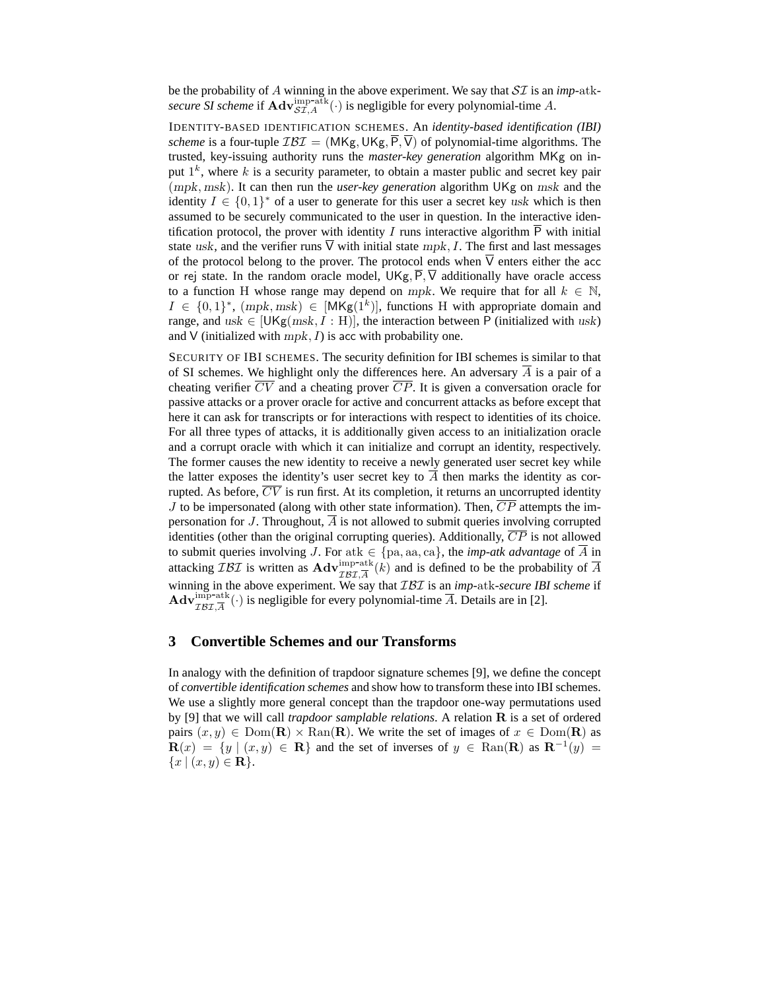be the probability of A winning in the above experiment. We say that SI is an *imp-*atksecure SI scheme if  $\mathbf{Adv}_{\mathcal{SI},A}^{\text{imp-atk}}(\cdot)$  is negligible for every polynomial-time A.

IDENTITY-BASED IDENTIFICATION SCHEMES. An *identity-based identification (IBI) scheme* is a four-tuple  $IBI = (MKg, UKg, P, V)$  of polynomial-time algorithms. The trusted, key-issuing authority runs the *master-key generation* algorithm MKg on input  $1^k$ , where k is a security parameter, to obtain a master public and secret key pair (mpk, msk). It can then run the *user-key generation* algorithm UKg on msk and the identity  $I \in \{0,1\}^*$  of a user to generate for this user a secret key usk which is then assumed to be securely communicated to the user in question. In the interactive identification protocol, the prover with identity I runs interactive algorithm  $\overline{P}$  with initial state usk, and the verifier runs  $\overline{V}$  with initial state mpk, I. The first and last messages of the protocol belong to the prover. The protocol ends when  $\overline{V}$  enters either the acc or rej state. In the random oracle model,  $UKg, \overline{P}, \overline{V}$  additionally have oracle access to a function H whose range may depend on mpk. We require that for all  $k \in \mathbb{N}$ ,  $I \in \{0,1\}^*$ ,  $(mpk, msk) \in [MKg(1^k)]$ , functions H with appropriate domain and range, and  $usk \in [UKg(msk, I : H)],$  the interaction between P (initialized with usk) and V (initialized with  $mpk$ , I) is acc with probability one.

SECURITY OF IBI SCHEMES. The security definition for IBI schemes is similar to that of SI schemes. We highlight only the differences here. An adversary  $A$  is a pair of a cheating verifier  $\overline{CV}$  and a cheating prover  $\overline{CP}$ . It is given a conversation oracle for passive attacks or a prover oracle for active and concurrent attacks as before except that here it can ask for transcripts or for interactions with respect to identities of its choice. For all three types of attacks, it is additionally given access to an initialization oracle and a corrupt oracle with which it can initialize and corrupt an identity, respectively. The former causes the new identity to receive a newly generated user secret key while the latter exposes the identity's user secret key to  $\overline{A}$  then marks the identity as corrupted. As before,  $\overline{CV}$  is run first. At its completion, it returns an uncorrupted identity  $J$  to be impersonated (along with other state information). Then,  $\overline{CP}$  attempts the impersonation for J. Throughout,  $\overline{A}$  is not allowed to submit queries involving corrupted identities (other than the original corrupting queries). Additionally,  $\overline{CP}$  is not allowed to submit queries involving J. For atk  $\in \{pa, aa, ca\}$ , the *imp-atk advantage* of  $\overline{A}$  in attacking  $\overline{L} \mathcal{B} \mathcal{I}$  is written as  $\mathbf{Adv}_{\mathcal{IBI},\overline{A}}^{\text{imp-atk}}(k)$  and is defined to be the probability of  $\overline{A}$ winning in the above experiment. We say that  $\mathcal{IBI}$  is an *imp*-atk-secure IBI scheme if  $\mathbf{Adv}_{\mathcal{IBI}, \overline{A}}^{\text{imp-atk}}(\cdot)$  is negligible for every polynomial-time  $\overline{A}$ . Details are in [2].

## **3 Convertible Schemes and our Transforms**

In analogy with the definition of trapdoor signature schemes [9], we define the concept of *convertible identification schemes* and show how to transform these into IBI schemes. We use a slightly more general concept than the trapdoor one-way permutations used by [9] that we will call *trapdoor samplable relations*. A relation R is a set of ordered pairs  $(x, y) \in \text{Dom}(\mathbf{R}) \times \text{Ran}(\mathbf{R})$ . We write the set of images of  $x \in \text{Dom}(\mathbf{R})$  as  $\mathbf{R}(x) = \{y \mid (x, y) \in \mathbf{R}\}\$ and the set of inverses of  $y \in \text{Ran}(\mathbf{R})$  as  $\mathbf{R}^{-1}(y) =$  ${x | (x, y) \in \mathbf{R}}.$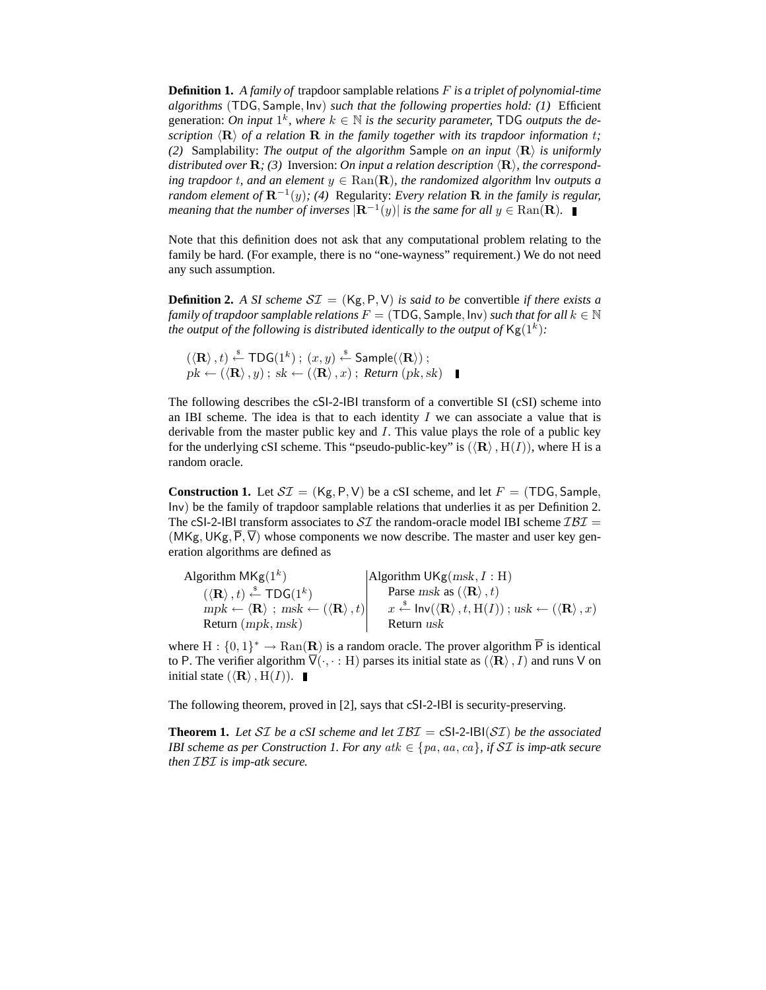**Definition 1.** *A family of* trapdoor samplable relations F *is a triplet of polynomial-time algorithms* (TDG, Sample, Inv) *such that the following properties hold: (1)* Efficient generation: On input  $1^k$ , where  $k \in \mathbb{N}$  is the security parameter, TDG outputs the de*scription*  $\langle \mathbf{R} \rangle$  *of a relation* **R** *in the family together with its trapdoor information t; (2)* Samplability: *The output of the algorithm* Sample *on an input*  $\langle \mathbf{R} \rangle$  *is uniformly* distributed over  $\mathbf{R}$ ; (3) Inversion: On input a relation description  $\langle \mathbf{R} \rangle$ , the correspond*ing trapdoor t, and an element*  $y \in \text{Ran}(\mathbf{R})$ *, the randomized algorithm* lnv *outputs a random element of* R<sup>−</sup><sup>1</sup> (y)*; (4)* Regularity: *Every relation* R *in the family is regular, meaning that the number of inverses*  $|\mathbf{R}^{-1}(y)|$  *is the same for all*  $y \in \text{Ran}(\mathbf{R})$ .

Note that this definition does not ask that any computational problem relating to the family be hard. (For example, there is no "one-wayness" requirement.) We do not need any such assumption.

**Definition 2.** *A SI scheme*  $ST = (Kg, P, V)$  *is said to be* convertible *if there exists a family of trapdoor samplable relations*  $F = (TDG, Sample, Inv)$  *such that for all*  $k \in \mathbb{N}$ *the output of the following is distributed identically to the output of*  $\mathsf{Kg}(1^k)$ *:* 

 $(\langle \mathbf{R} \rangle, t) \stackrel{\hspace{0.1em}\mathsf{\scriptscriptstyle\$}}{\leftarrow} \mathsf{TDG}(1^k) \: ; \: (x,y) \stackrel{\hspace{0.1em}\mathsf{\scriptscriptstyle\$}}{\leftarrow} \mathsf{Sample}(\langle \mathbf{R} \rangle) \: ;$  $pk \leftarrow (\langle \mathbf{R} \rangle, y)$ ;  $sk \leftarrow (\langle \mathbf{R} \rangle, x)$ ; *Return* ( $pk, sk$ )

The following describes the cSI-2-IBI transform of a convertible SI (cSI) scheme into an IBI scheme. The idea is that to each identity  $I$  we can associate a value that is derivable from the master public key and I. This value plays the role of a public key for the underlying cSI scheme. This "pseudo-public-key" is  $(\langle \mathbf{R} \rangle, H(I))$ , where H is a random oracle.

**Construction 1.** Let  $ST = (Kg, P, V)$  be a cSI scheme, and let  $F = (TDG, Sample,$ Inv) be the family of trapdoor samplable relations that underlies it as per Definition 2. The cSI-2-IBI transform associates to  $ST$  the random-oracle model IBI scheme  $IBI =$ (MKg, UKg,  $\overline{P}$ ,  $\overline{V}$ ) whose components we now describe. The master and user key generation algorithms are defined as

| Algorithm $MKg(1^k)$                                                                           | Algorithm UKg $(msk, I : H)$                                                                                                           |
|------------------------------------------------------------------------------------------------|----------------------------------------------------------------------------------------------------------------------------------------|
| $(\langle \mathbf{R} \rangle, t) \stackrel{\$}{\leftarrow} \textsf{TDG}(1^k)$                  | Parse msk as $(\langle \mathbf{R} \rangle, t)$                                                                                         |
| $mpk \leftarrow \langle \mathbf{R} \rangle$ ; $msk \leftarrow (\langle \mathbf{R} \rangle, t)$ | $x \stackrel{\$}{\leftarrow} \text{Inv}(\langle \mathbf{R} \rangle, t, \text{H}(I));$ $usk \leftarrow (\langle \mathbf{R} \rangle, x)$ |
| Return $(mpk, msk)$                                                                            | Return usk                                                                                                                             |

where  $H: \{0,1\}^* \to \text{Ran}(\mathbf{R})$  is a random oracle. The prover algorithm  $\overline{P}$  is identical to P. The verifier algorithm  $\overline{V}(\cdot, \cdot : H)$  parses its initial state as  $(\langle \mathbf{R} \rangle, I)$  and runs V on initial state  $(\langle \mathbf{R} \rangle, H(I))$ .

The following theorem, proved in [2], says that cSI-2-IBI is security-preserving.

**Theorem 1.** Let SI be a cSI scheme and let  $IBI = cS1-2-IBI(SI)$  be the associated *IBI scheme as per Construction 1. For any*  $atk \in \{pa, aa, ca\}$ *, if*  $ST$  *is imp-atk secure then* IBI *is imp-atk secure.*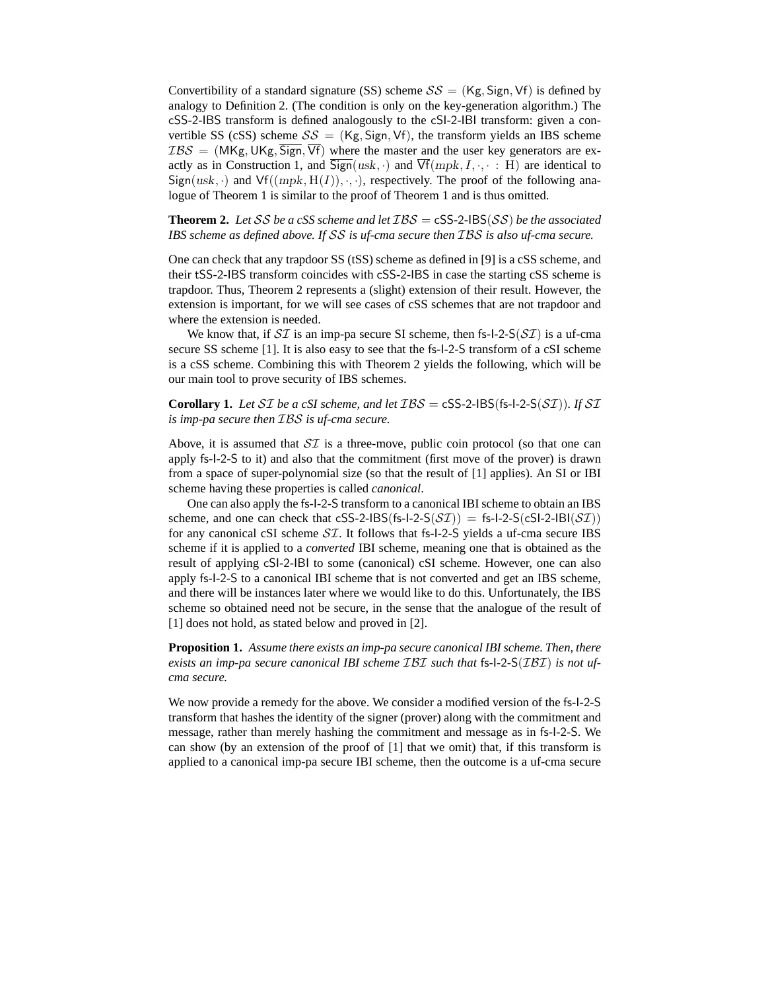Convertibility of a standard signature (SS) scheme  $SS = (Kg, Sign, Vf)$  is defined by analogy to Definition 2. (The condition is only on the key-generation algorithm.) The cSS-2-IBS transform is defined analogously to the cSI-2-IBI transform: given a convertible SS (cSS) scheme  $S\mathcal{S} = (Kg, Sign, Vf)$ , the transform yields an IBS scheme  $IBS = (MKg, UKg, \overline{Sign}, \overline{Vf})$  where the master and the user key generators are exactly as in Construction 1, and  $\overline{Sign}(usk, \cdot)$  and  $\overline{Vf}(mpk, I, \cdot, \cdot : H)$  are identical to  $Sign(usk, \cdot)$  and  $Vf((mpk, H(I)), \cdot, \cdot)$ , respectively. The proof of the following analogue of Theorem 1 is similar to the proof of Theorem 1 and is thus omitted.

**Theorem 2.** Let SS be a cSS scheme and let  $IBS = \text{cSS-2-IBS}(SS)$  be the associated *IBS scheme as defined above. If* SS *is uf-cma secure then* IBS *is also uf-cma secure.*

One can check that any trapdoor SS (tSS) scheme as defined in [9] is a cSS scheme, and their tSS-2-IBS transform coincides with cSS-2-IBS in case the starting cSS scheme is trapdoor. Thus, Theorem 2 represents a (slight) extension of their result. However, the extension is important, for we will see cases of cSS schemes that are not trapdoor and where the extension is needed.

We know that, if  $\mathcal{SI}$  is an imp-pa secure SI scheme, then fs-I-2-S( $\mathcal{SI}$ ) is a uf-cma secure SS scheme [1]. It is also easy to see that the fs-I-2-S transform of a cSI scheme is a cSS scheme. Combining this with Theorem 2 yields the following, which will be our main tool to prove security of IBS schemes.

**Corollary 1.** Let SI be a cSI scheme, and let  $\mathcal{IBS} = \text{cSS-2-IBS}(\text{fs-1-2-S}(\text{ST}))$ *.* If SI *is imp-pa secure then* IBS *is uf-cma secure.*

Above, it is assumed that  $\mathcal{SI}$  is a three-move, public coin protocol (so that one can apply fs-I-2-S to it) and also that the commitment (first move of the prover) is drawn from a space of super-polynomial size (so that the result of [1] applies). An SI or IBI scheme having these properties is called *canonical*.

One can also apply the fs-I-2-S transform to a canonical IBI scheme to obtain an IBS scheme, and one can check that cSS-2-IBS(fs-I-2-S( $ST$ )) = fs-I-2-S(cSI-2-IBI( $ST$ )) for any canonical cSI scheme  $ST$ . It follows that fs-I-2-S yields a uf-cma secure IBS scheme if it is applied to a *converted* IBI scheme, meaning one that is obtained as the result of applying cSI-2-IBI to some (canonical) cSI scheme. However, one can also apply fs-I-2-S to a canonical IBI scheme that is not converted and get an IBS scheme, and there will be instances later where we would like to do this. Unfortunately, the IBS scheme so obtained need not be secure, in the sense that the analogue of the result of [1] does not hold, as stated below and proved in [2].

**Proposition 1.** *Assume there exists an imp-pa secure canonical IBI scheme. Then, there exists an imp-pa secure canonical IBI scheme* IBI *such that* fs*-*I*-*2*-*S(IBI) *is not ufcma secure.*

We now provide a remedy for the above. We consider a modified version of the fs-I-2-S transform that hashes the identity of the signer (prover) along with the commitment and message, rather than merely hashing the commitment and message as in fs-I-2-S. We can show (by an extension of the proof of [1] that we omit) that, if this transform is applied to a canonical imp-pa secure IBI scheme, then the outcome is a uf-cma secure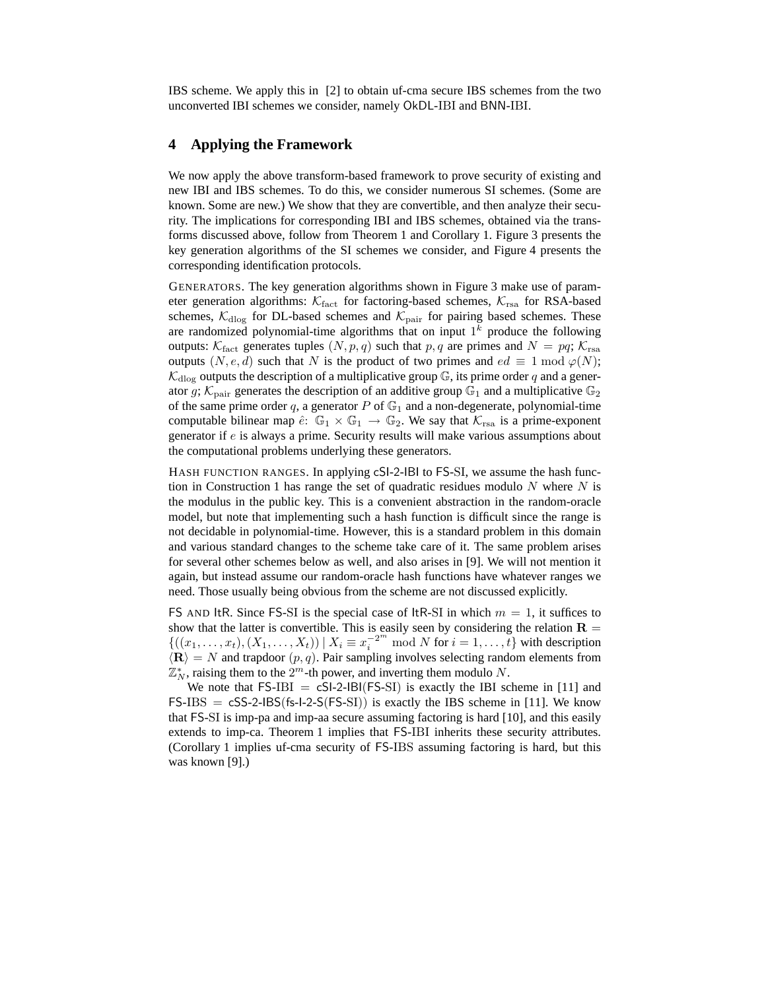IBS scheme. We apply this in [2] to obtain uf-cma secure IBS schemes from the two unconverted IBI schemes we consider, namely OkDL-IBI and BNN-IBI.

#### **4 Applying the Framework**

We now apply the above transform-based framework to prove security of existing and new IBI and IBS schemes. To do this, we consider numerous SI schemes. (Some are known. Some are new.) We show that they are convertible, and then analyze their security. The implications for corresponding IBI and IBS schemes, obtained via the transforms discussed above, follow from Theorem 1 and Corollary 1. Figure 3 presents the key generation algorithms of the SI schemes we consider, and Figure 4 presents the corresponding identification protocols.

GENERATORS. The key generation algorithms shown in Figure 3 make use of parameter generation algorithms:  $K_{\text{fact}}$  for factoring-based schemes,  $K_{\text{rsa}}$  for RSA-based schemes,  $\mathcal{K}_{\text{dlog}}$  for DL-based schemes and  $\mathcal{K}_{\text{pair}}$  for pairing based schemes. These are randomized polynomial-time algorithms that on input  $1<sup>k</sup>$  produce the following outputs:  $\mathcal{K}_{\text{fact}}$  generates tuples  $(N, p, q)$  such that p, q are primes and  $N = pq$ ;  $\mathcal{K}_{\text{rsa}}$ outputs  $(N, e, d)$  such that N is the product of two primes and  $ed \equiv 1 \mod \varphi(N)$ ;  $\mathcal{K}_{\text{dlog}}$  outputs the description of a multiplicative group  $\mathbb{G}$ , its prime order q and a generator g;  $\mathcal{K}_{\text{pair}}$  generates the description of an additive group  $\mathbb{G}_1$  and a multiplicative  $\mathbb{G}_2$ of the same prime order q, a generator  $P$  of  $\mathbb{G}_1$  and a non-degenerate, polynomial-time computable bilinear map  $\hat{e}: \mathbb{G}_1 \times \mathbb{G}_1 \to \mathbb{G}_2$ . We say that  $\mathcal{K}_{\text{rsa}}$  is a prime-exponent generator if e is always a prime. Security results will make various assumptions about the computational problems underlying these generators.

HASH FUNCTION RANGES. In applying cSI-2-IBI to FS-SI, we assume the hash function in Construction 1 has range the set of quadratic residues modulo  $N$  where  $N$  is the modulus in the public key. This is a convenient abstraction in the random-oracle model, but note that implementing such a hash function is difficult since the range is not decidable in polynomial-time. However, this is a standard problem in this domain and various standard changes to the scheme take care of it. The same problem arises for several other schemes below as well, and also arises in [9]. We will not mention it again, but instead assume our random-oracle hash functions have whatever ranges we need. Those usually being obvious from the scheme are not discussed explicitly.

FS AND ItR. Since FS-SI is the special case of ItR-SI in which  $m = 1$ , it suffices to show that the latter is convertible. This is easily seen by considering the relation  $\mathbf{R} =$  $\{((x_1,\ldots,x_t),(X_1,\ldots,X_t))\mid X_i\equiv x_i^{-2^m}\mod N \text{ for } i=1,\ldots,t\}$  with description  $\langle \mathbf{R} \rangle = N$  and trapdoor  $(p, q)$ . Pair sampling involves selecting random elements from  $\mathbb{Z}_N^*$ , raising them to the  $2^m$ -th power, and inverting them modulo N.

We note that  $FS-IBI = cSI-2-IBI(FS-SI)$  is exactly the IBI scheme in [11] and  $FS-IBS = cSS-2-IBS(fs-I-2-S(FS-SI))$  is exactly the IBS scheme in [11]. We know that FS-SI is imp-pa and imp-aa secure assuming factoring is hard [10], and this easily extends to imp-ca. Theorem 1 implies that FS-IBI inherits these security attributes. (Corollary 1 implies uf-cma security of FS-IBS assuming factoring is hard, but this was known [9].)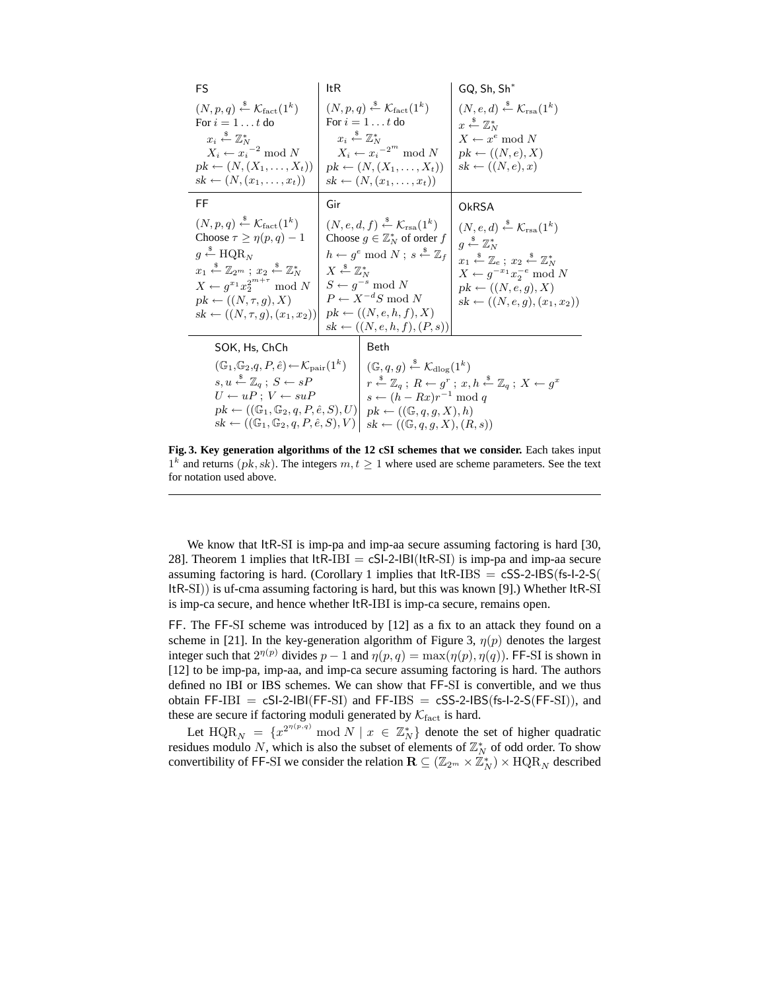| FS                                                                                                                                                                                                                                                                                                                                                                                    | ltR                                                                                                                                                                                                                                                                                                                                                                                                                              |                                                                                                                                                                                                                                                                                                                                                                   | $GQ, Sh, Sh^*$                                                                                                                                                                                                                                                                                                                                |  |  |
|---------------------------------------------------------------------------------------------------------------------------------------------------------------------------------------------------------------------------------------------------------------------------------------------------------------------------------------------------------------------------------------|----------------------------------------------------------------------------------------------------------------------------------------------------------------------------------------------------------------------------------------------------------------------------------------------------------------------------------------------------------------------------------------------------------------------------------|-------------------------------------------------------------------------------------------------------------------------------------------------------------------------------------------------------------------------------------------------------------------------------------------------------------------------------------------------------------------|-----------------------------------------------------------------------------------------------------------------------------------------------------------------------------------------------------------------------------------------------------------------------------------------------------------------------------------------------|--|--|
| $(N, p, q) \stackrel{\text{*}}{\leftarrow} \mathcal{K}_{\text{fact}}(1^k)$<br>For $i=1t$ do<br>$x_i \stackrel{\$}{\leftarrow} \mathbb{Z}_N^*$<br>$X_i \leftarrow x_i^{-2} \mod N$<br>$pk \leftarrow (N, (X_1, \ldots, X_t))$<br>$sk \leftarrow (N,(x_1,\ldots,x_t))$                                                                                                                  | $(N, p, q) \stackrel{\text{s}}{\leftarrow} \mathcal{K}_{\text{fact}}(1^k)$<br>For $i = 1t$ do<br>$x_i \stackrel{\$}{\leftarrow} \mathbb{Z}_N^*$<br>$X_i \leftarrow x_i^{-2^m} \mod N$<br>$pk \leftarrow (N, (X_1, \ldots, X_t))$<br>$sk \leftarrow (N,(x_1,\ldots,x_t))$                                                                                                                                                         |                                                                                                                                                                                                                                                                                                                                                                   | $(N, e, d) \stackrel{\$}{\leftarrow} \mathcal{K}_{\text{rsa}}(1^k)$<br>$x \stackrel{\$}{\leftarrow} \mathbb{Z}_N^*$<br>$X \leftarrow x^e \mod N$<br>$pk \leftarrow ((N, e), X)$<br>$sk \leftarrow ((N, e), x)$                                                                                                                                |  |  |
| FF                                                                                                                                                                                                                                                                                                                                                                                    | Gir                                                                                                                                                                                                                                                                                                                                                                                                                              |                                                                                                                                                                                                                                                                                                                                                                   | OkRSA                                                                                                                                                                                                                                                                                                                                         |  |  |
| $(N, p, q) \stackrel{\text{*}}{\leftarrow} \mathcal{K}_{\text{fact}}(1^k)$<br>Choose $\tau \geq \eta(p,q)-1$<br>$q \leftarrow \text{HQR}_N$<br>$x_1 \stackrel{\$}{\leftarrow} \mathbb{Z}_{2^m}$ ; $x_2 \stackrel{\$}{\leftarrow} \mathbb{Z}_N^*$<br>$X \leftarrow q^{x_1} x_2^{2^{m+\tau}} \mod N$<br>$pk \leftarrow ((N, \tau, g), X)$<br>$sk \leftarrow ((N, \tau, g), (x_1, x_2))$ | $(N, e, d, f) \stackrel{\text{*}}{\leftarrow} \mathcal{K}_{\text{rsa}}(1^k)$<br>Choose $q \in \mathbb{Z}_N^*$ of order f<br>$h \leftarrow g^e \mod N$ ; $s \leftarrow \mathbb{Z}_f$<br>$X \stackrel{\hspace{0.1em}\mathsf{\scriptscriptstyle\$}}{\leftarrow} \mathbb{Z}_{N}^{*}$<br>$S \leftarrow q^{-s} \mod N$<br>$P \leftarrow X^{-d}S \mod N$<br>$pk \leftarrow ((N, e, h, f), X)$<br>$sk \leftarrow ((N, e, h, f), (P, s))$ |                                                                                                                                                                                                                                                                                                                                                                   | $(N, e, d) \stackrel{\$}{\leftarrow} \mathcal{K}_{\text{rsa}}(1^k)$<br>$q \stackrel{\$}{\leftarrow} \mathbb{Z}_N^*$<br>$x_1 \stackrel{\$}{\leftarrow} \mathbb{Z}_e$ ; $x_2 \stackrel{\$}{\leftarrow} \mathbb{Z}_N^*$<br>$X \leftarrow g^{-x_1} x_2^{-e} \bmod N$<br>$pk \leftarrow ((N, e, q), X)$<br>$sk \leftarrow ((N, e, q), (x_1, x_2))$ |  |  |
| SOK, Hs, ChCh                                                                                                                                                                                                                                                                                                                                                                         |                                                                                                                                                                                                                                                                                                                                                                                                                                  | Beth                                                                                                                                                                                                                                                                                                                                                              |                                                                                                                                                                                                                                                                                                                                               |  |  |
| $(\mathbb{G}_1,\mathbb{G}_2,q,P,\hat{e}) \leftarrow \mathcal{K}_{\text{pair}}(1^k)$<br>$s, u \stackrel{*}{\leftarrow} \mathbb{Z}_q$ ; $S \leftarrow sP$<br>$U \leftarrow uP$ ; $V \leftarrow suP$<br>$pk \leftarrow ((\mathbb{G}_1, \mathbb{G}_2, q, P, \hat{e}, S), U)$<br>$sk \leftarrow ((\mathbb{G}_1, \mathbb{G}_2, q, P, \hat{e}, S), V)$                                       |                                                                                                                                                                                                                                                                                                                                                                                                                                  | $(\mathbb{G}, q, q) \stackrel{\ast}{\leftarrow} \mathcal{K}_{\text{dlog}}(1^k)$<br>$r \stackrel{\$}{\leftarrow} \mathbb{Z}_q$ ; $R \leftarrow q^r$ ; $x, h \stackrel{\$}{\leftarrow} \mathbb{Z}_q$ ; $X \leftarrow q^x$<br>$s \leftarrow (h - Rx)r^{-1} \bmod q$<br>$pk \leftarrow ((\mathbb{G}, q, q, X), h)$<br>$sk \leftarrow ((\mathbb{G}, q, q, X), (R, s))$ |                                                                                                                                                                                                                                                                                                                                               |  |  |

**Fig. 3. Key generation algorithms of the 12 cSI schemes that we consider.** Each takes input  $1^k$  and returns (pk, sk). The integers  $m, t \geq 1$  where used are scheme parameters. See the text for notation used above.

We know that ItR-SI is imp-pa and imp-aa secure assuming factoring is hard [30, 28]. Theorem 1 implies that  $ItR-IBI = cSI-2-IBI(ttR-SI)$  is imp-pa and imp-aa secure assuming factoring is hard. (Corollary 1 implies that  $ItR-IBS = cSS-2-IBS(fs-1-2-S($ ItR-SI)) is uf-cma assuming factoring is hard, but this was known [9].) Whether ItR-SI is imp-ca secure, and hence whether ItR-IBI is imp-ca secure, remains open.

FF. The FF-SI scheme was introduced by [12] as a fix to an attack they found on a scheme in [21]. In the key-generation algorithm of Figure 3,  $\eta(p)$  denotes the largest integer such that  $2^{\eta(p)}$  divides  $p-1$  and  $\eta(p,q) = \max(\eta(p), \eta(q))$ . FF-SI is shown in [12] to be imp-pa, imp-aa, and imp-ca secure assuming factoring is hard. The authors defined no IBI or IBS schemes. We can show that FF-SI is convertible, and we thus obtain  $FF-IBI = cSI-2-IBI(FF-SI)$  and  $FF-IBS = cSS-2-IBS(fs-I-2-S(FF-SI)),$  and these are secure if factoring moduli generated by  $\mathcal{K}_{\text{fact}}$  is hard.

Let  $\text{HQR}_N = \{x^{2^{n(p,q)}} \mod N \mid x \in \mathbb{Z}_N^*\}$  denote the set of higher quadratic residues modulo N, which is also the subset of elements of  $\mathbb{Z}_N^*$  of odd order. To show convertibility of FF-SI we consider the relation  $\mathbf{R} \subseteq (\mathbb{Z}_{2^m} \times \mathbb{Z}_N^*) \times \text{HQR}_N$  described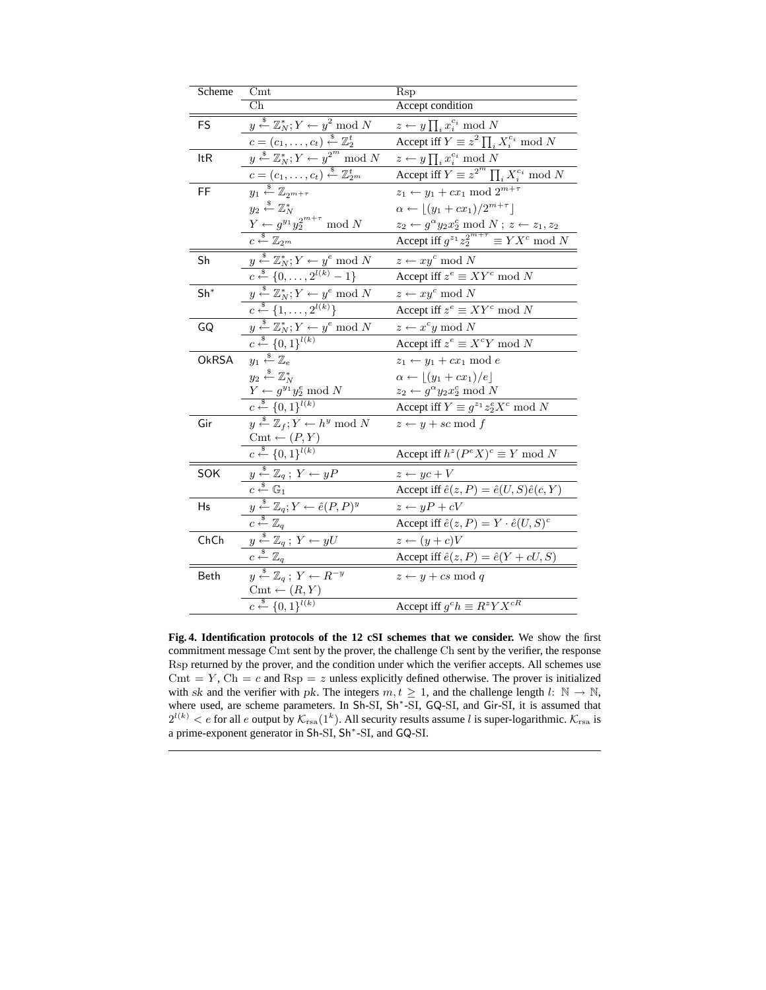| Scheme | Cmt                                                                                                                                                    | Rsp                                                                                                                                             |
|--------|--------------------------------------------------------------------------------------------------------------------------------------------------------|-------------------------------------------------------------------------------------------------------------------------------------------------|
|        | $\overline{\rm Ch}$                                                                                                                                    | Accept condition                                                                                                                                |
| FS     | $\overline{y} \stackrel{\$}{\leftarrow} \mathbb{Z}_{N}^{*}$ ; $Y \leftarrow y^2 \mod N$                                                                | $z \leftarrow y \prod_i x_i^{c_i} \bmod N$                                                                                                      |
|        |                                                                                                                                                        | Accept iff $Y \equiv z^2 \prod_i X_i^{c_i} \bmod N$                                                                                             |
| ltR    | $c = (c_1, \ldots, c_t) \stackrel{\$}{\leftarrow} \mathbb{Z}_2^t$<br>$y \stackrel{\$}{\leftarrow} \mathbb{Z}_N^*; Y \leftarrow y^{2^m} \text{ mod } N$ | $z \leftarrow y \prod_i x_i^{c_i} \bmod{N}$                                                                                                     |
|        | $c = (c_1, \ldots, c_t) \stackrel{\$}{\leftarrow} \mathbb{Z}_{2^m}^t$                                                                                  | Accept iff $Y \equiv z^{2^m} \prod_i X_i^{c_i} \bmod N$                                                                                         |
| FF     | $y_1 \stackrel{\$}{\leftarrow} \mathbb{Z}_{2^{m+\tau}}$                                                                                                | $z_1 \leftarrow y_1 + cx_1 \mod 2^{m+\tau}$                                                                                                     |
|        | $y_2 \overset{\hspace{0.1em}\mathsf{\scriptscriptstyle\$}}{\leftarrow} \mathbb{Z}_N^*$                                                                 | $\alpha \leftarrow \lfloor (y_1 + cx_1)/2^{m+\tau} \rfloor$                                                                                     |
|        | $\frac{Y \leftarrow g^{y_1} y_2^{2^{m+\tau}} \mod N}{c \stackrel{\$}{\leftarrow} \mathbb{Z}_{2^m}}$                                                    | $\frac{z_2 \leftarrow g^{\alpha} y_2 x_2^c \bmod N; \ z \leftarrow z_1, z_2}{\text{Accept iff } g^{z_1} z_2^{2^{m+\tau}}} \equiv Y X^c \bmod N$ |
|        |                                                                                                                                                        |                                                                                                                                                 |
| Sh     | $y \stackrel{\$}{\leftarrow} \mathbb{Z}_N^*, Y \leftarrow y^e \mod N$<br>$c \stackrel{\$}{\leftarrow} \{0, \ldots, 2^{l(k)} - 1\}$                     | $z \leftarrow xy^c \bmod N$                                                                                                                     |
|        |                                                                                                                                                        | Accept iff $z^e \equiv XY^c \mod N$                                                                                                             |
| $Sh^*$ | $\overline{y} \stackrel{\$}{\leftarrow} \mathbb{Z}_N^*$ ; $Y \leftarrow y^e \mod N$                                                                    | $z \leftarrow xy^c \mod N$                                                                                                                      |
|        | $c \stackrel{\$}{\leftarrow} \{1, \ldots, 2^{l(k)}\}$                                                                                                  | Accept iff $z^e \equiv XY^c \mod N$                                                                                                             |
| GQ     | $y \stackrel{*}{\leftarrow} \mathbb{Z}_N^*; Y \leftarrow y^e \mod N$                                                                                   | $z \leftarrow x^c y \mod N$                                                                                                                     |
|        | $c \stackrel{\$}{\leftarrow} \{0,1\}^{l(k)}$                                                                                                           | Accept iff $z^e \equiv X^c Y \bmod N$                                                                                                           |
| OkRSA  | $y_1\overset{\hspace{0.1em}\mathsf{\scriptscriptstyle\$}}{\leftarrow}\mathbb{Z}_e$                                                                     | $z_1 \leftarrow y_1 + cx_1 \mod e$                                                                                                              |
|        | $y_2 \overset{\hspace{0.1em}\mathsf{\scriptscriptstyle\$}}{\leftarrow} \mathbb{Z}_N^*$                                                                 | $\alpha \leftarrow \lfloor (y_1 + cx_1)/e \rfloor$                                                                                              |
|        | $Y \leftarrow g^{y_1} y_2^e \mod N$<br>$c \leftarrow {\{0,1\}}^{l(k)}$                                                                                 | $z_2 \leftarrow g^{\alpha} y_2 x_2^c \bmod N$                                                                                                   |
|        |                                                                                                                                                        | Accept iff $Y \equiv g^{z_1} z_2^e X^c \mod N$                                                                                                  |
| Gir    | $\overline{y} \stackrel{\$}{\leftarrow} \mathbb{Z}_f$ ; $Y \leftarrow h^y \mod N$                                                                      | $z \leftarrow y + sc \mod f$                                                                                                                    |
|        | $\mathrm{Cmt} \leftarrow (P, Y)$                                                                                                                       |                                                                                                                                                 |
|        | $c \xleftarrow{\$} \{0,1\}^{l(k)}$                                                                                                                     | Accept iff $h^z(P^eX)^c \equiv Y \mod N$                                                                                                        |
| SOK    | $y \stackrel{\$}{\leftarrow} \mathbb{Z}_q$ ; $Y \leftarrow yP$                                                                                         | $z \leftarrow yc + V$                                                                                                                           |
|        | $c \stackrel{\hspace{0.1em}\mathsf{\scriptscriptstyle\$}}{\leftarrow} \mathbb{G}_1$                                                                    | Accept iff $\hat{e}(z, P) = \hat{e}(U, S)\hat{e}(c, Y)$                                                                                         |
| Hs     | $y \stackrel{\hspace{0.1em}\mathsf{\scriptscriptstyle\$}}{\leftarrow} \mathbb{Z}_q; Y \leftarrow \hat{e}(P,P)^y$                                       | $z \leftarrow yP + cV$                                                                                                                          |
|        | $c \stackrel{\$}{\leftarrow} \mathbb{Z}_q$                                                                                                             | Accept iff $\hat{e}(z, P) = Y \cdot \hat{e}(U, S)^c$                                                                                            |
| ChCh   | $y \stackrel{\$}{\leftarrow} \mathbb{Z}_q$ ; $Y \leftarrow yU$                                                                                         | $z \leftarrow (y+c)V$                                                                                                                           |
|        | $c \stackrel{\$}{\leftarrow} \mathbb{Z}_q$                                                                                                             | Accept iff $\hat{e}(z, P) = \hat{e}(Y + cU, S)$                                                                                                 |
| Beth   | $y \stackrel{\$}{\leftarrow} \mathbb{Z}_q$ ; $Y \leftarrow R^{-y}$                                                                                     | $z \leftarrow y + cs \mod q$                                                                                                                    |
|        | $\text{Cmt} \leftarrow (R, Y)$                                                                                                                         |                                                                                                                                                 |
|        | $c \xleftarrow{\$} \{0,1\}^{l(k)}$                                                                                                                     | Accept iff $g^c h \equiv R^z Y X^{cR}$                                                                                                          |

**Fig. 4. Identification protocols of the 12 cSI schemes that we consider.** We show the first commitment message Cmt sent by the prover, the challenge Ch sent by the verifier, the response Rsp returned by the prover, and the condition under which the verifier accepts. All schemes use Cmt = Y, Ch = c and Rsp = z unless explicitly defined otherwise. The prover is initialized with sk and the verifier with pk. The integers  $m, t \geq 1$ , and the challenge length  $l: \mathbb{N} \to \mathbb{N}$ , where used, are scheme parameters. In Sh-SI, Sh<sup>\*</sup>-SI, GQ-SI, and Gir-SI, it is assumed that  $2^{l(k)} < e$  for all e output by  $\mathcal{K}_{\text{rsa}}(1^k)$ . All security results assume l is super-logarithmic.  $\mathcal{K}_{\text{rsa}}$  is a prime-exponent generator in Sh-SI, Sh<sup>∗</sup> -SI, and GQ-SI.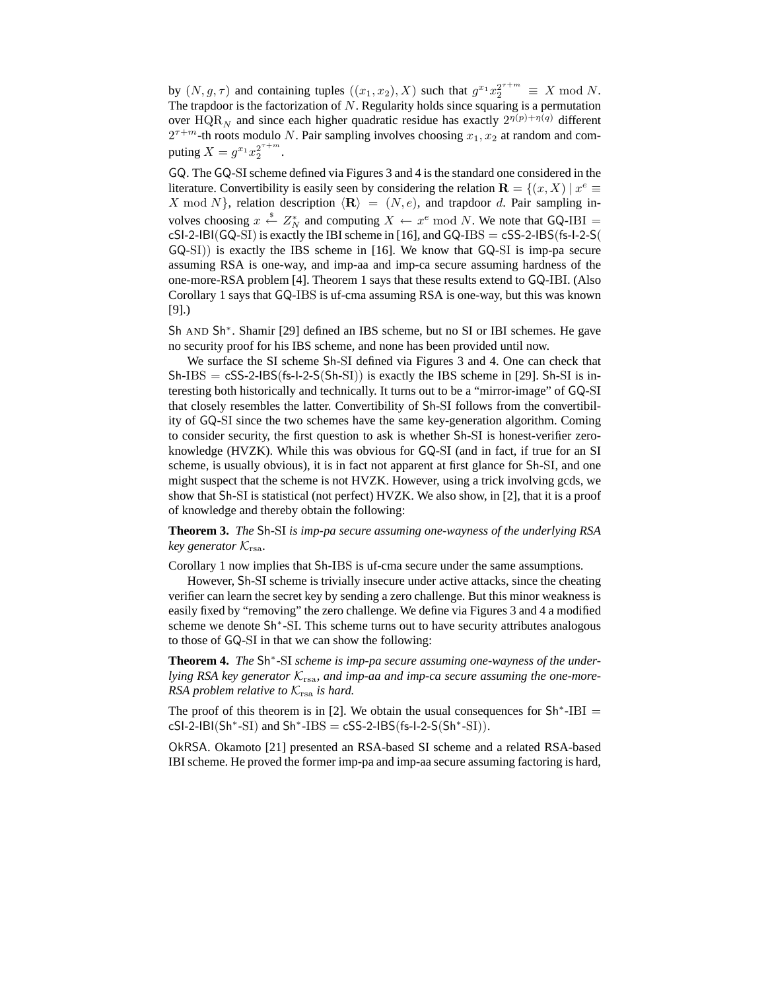by  $(N, g, \tau)$  and containing tuples  $((x_1, x_2), X)$  such that  $g^{x_1} x_2^{2^{\tau+m}} \equiv X \text{ mod } N$ . The trapdoor is the factorization of  $N$ . Regularity holds since squaring is a permutation over  $HQR_N$  and since each higher quadratic residue has exactly  $2^{\eta(p)+\eta(q)}$  different  $2^{\tau+m}$ -th roots modulo N. Pair sampling involves choosing  $x_1, x_2$  at random and computing  $X = g^{x_1} x_2^{2^{\tau+m}}$ .

GQ. The GQ-SI scheme defined via Figures 3 and 4 is the standard one considered in the literature. Convertibility is easily seen by considering the relation  $\mathbf{R} = \{(x, X) \mid x^e \equiv \emptyset\}$ X mod N, relation description  $\langle \mathbf{R} \rangle = (N, e)$ , and trapdoor d. Pair sampling involves choosing  $x \stackrel{\text{*}}{\leftarrow} Z_N^*$  and computing  $X \leftarrow x^e \mod N$ . We note that GQ-IBI =  $cS1-2-IBI(GQ-SI)$  is exactly the IBI scheme in [16], and  $GQ-IBS = cSS-2-IBS(fS-I-2-S($ GQ-SI)) is exactly the IBS scheme in [16]. We know that GQ-SI is imp-pa secure assuming RSA is one-way, and imp-aa and imp-ca secure assuming hardness of the one-more-RSA problem [4]. Theorem 1 says that these results extend to GQ-IBI. (Also Corollary 1 says that GQ-IBS is uf-cma assuming RSA is one-way, but this was known [9].)

Sh AND Sh<sup>∗</sup> . Shamir [29] defined an IBS scheme, but no SI or IBI schemes. He gave no security proof for his IBS scheme, and none has been provided until now.

We surface the SI scheme Sh-SI defined via Figures 3 and 4. One can check that  $Sh-IBS = cSS-2-IBS(fs-1-2-S(Sh-SI))$  is exactly the IBS scheme in [29]. Sh-SI is interesting both historically and technically. It turns out to be a "mirror-image" of GQ-SI that closely resembles the latter. Convertibility of Sh-SI follows from the convertibility of GQ-SI since the two schemes have the same key-generation algorithm. Coming to consider security, the first question to ask is whether Sh-SI is honest-verifier zeroknowledge (HVZK). While this was obvious for GQ-SI (and in fact, if true for an SI scheme, is usually obvious), it is in fact not apparent at first glance for Sh-SI, and one might suspect that the scheme is not HVZK. However, using a trick involving gcds, we show that Sh-SI is statistical (not perfect) HVZK. We also show, in [2], that it is a proof of knowledge and thereby obtain the following:

**Theorem 3.** *The* Sh*-*SI *is imp-pa secure assuming one-wayness of the underlying RSA key generator*  $K_{\text{rsa}}$ *.* 

Corollary 1 now implies that Sh-IBS is uf-cma secure under the same assumptions.

However, Sh-SI scheme is trivially insecure under active attacks, since the cheating verifier can learn the secret key by sending a zero challenge. But this minor weakness is easily fixed by "removing" the zero challenge. We define via Figures 3 and 4 a modified scheme we denote Sh<sup>∗</sup> -SI. This scheme turns out to have security attributes analogous to those of GQ-SI in that we can show the following:

**Theorem 4.** *The* Sh<sup>∗</sup> *-*SI *scheme is imp-pa secure assuming one-wayness of the under*lying RSA key generator  $K_{\text{rsa}}$ , and imp-aa and imp-ca secure assuming the one-more-*RSA problem relative to*  $K_{\text{rsa}}$  *is hard.* 

The proof of this theorem is in [2]. We obtain the usual consequences for  $\text{Sh}^*$ -IBI =  $cS1-2-IBI(Sh*-SI)$  and  $Sh*-IBS = cSS-2-IBS(fs-I-2-S(Sh*-SI)).$ 

OkRSA. Okamoto [21] presented an RSA-based SI scheme and a related RSA-based IBI scheme. He proved the former imp-pa and imp-aa secure assuming factoring is hard,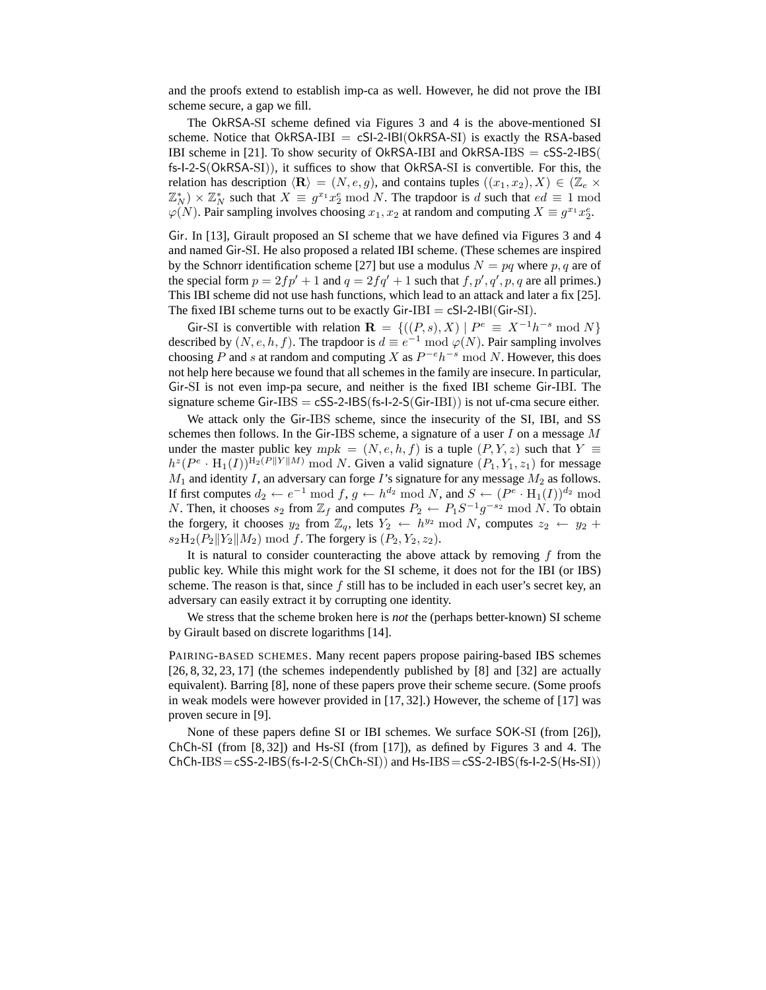and the proofs extend to establish imp-ca as well. However, he did not prove the IBI scheme secure, a gap we fill.

The OkRSA-SI scheme defined via Figures 3 and 4 is the above-mentioned SI scheme. Notice that  $OkRSA-IBI = cSI-2-IBI(OkRSA-SI)$  is exactly the RSA-based IBI scheme in [21]. To show security of OkRSA-IBI and OkRSA-IBS  $=$  cSS-2-IBS( fs-I-2-S(OkRSA-SI)), it suffices to show that OkRSA-SI is convertible. For this, the relation has description  $\langle \mathbf{R} \rangle = (N, e, g)$ , and contains tuples  $((x_1, x_2), X) \in (\mathbb{Z}_e \times$  $(\mathbb{Z}_N^*) \times \mathbb{Z}_N^*$  such that  $X \equiv g^{x_1} x_2^e \bmod N$ . The trapdoor is d such that  $ed \equiv 1 \bmod N$  $\varphi(N)$ . Pair sampling involves choosing  $x_1, x_2$  at random and computing  $X \equiv g^{x_1} x_2^e$ .

Gir. In [13], Girault proposed an SI scheme that we have defined via Figures 3 and 4 and named Gir-SI. He also proposed a related IBI scheme. (These schemes are inspired by the Schnorr identification scheme [27] but use a modulus  $N = pq$  where p, q are of the special form  $p = 2fp' + 1$  and  $q = 2fq' + 1$  such that  $f, p', q', p, q$  are all primes.) This IBI scheme did not use hash functions, which lead to an attack and later a fix [25]. The fixed IBI scheme turns out to be exactly  $Gir-IBI = cSI-2-IBI(Gir-SI)$ .

Gir-SI is convertible with relation  $\mathbf{R} = \{((P, s), X) | P^e \equiv X^{-1}h^{-s} \bmod N\}$ described by  $(N, e, h, f)$ . The trapdoor is  $d \equiv e^{-1} \bmod \varphi(N)$ . Pair sampling involves choosing P and s at random and computing X as  $P^{-e}h^{-s} \mod N$ . However, this does not help here because we found that all schemes in the family are insecure. In particular, Gir-SI is not even imp-pa secure, and neither is the fixed IBI scheme Gir-IBI. The signature scheme Gir-IBS  $=$  cSS-2-IBS(fs-I-2-S(Gir-IBI)) is not uf-cma secure either.

We attack only the Gir-IBS scheme, since the insecurity of the SI, IBI, and SS schemes then follows. In the Gir-IBS scheme, a signature of a user  $I$  on a message  $M$ under the master public key mpk =  $(N, e, h, f)$  is a tuple  $(P, Y, z)$  such that  $Y \equiv$  $h^z(P^e \cdot \text{H}_1(I))^{\text{H}_2(P||Y||M)}$  mod N. Given a valid signature  $(P_1, Y_1, z_1)$  for message  $M_1$  and identity I, an adversary can forge I's signature for any message  $M_2$  as follows. If first computes  $d_2 \leftarrow e^{-1} \bmod f$ ,  $g \leftarrow h^{d_2} \bmod N$ , and  $S \leftarrow (P^e \cdot \text{H}_1(I))^{d_2} \bmod$ N. Then, it chooses  $s_2$  from  $\mathbb{Z}_f$  and computes  $P_2 \leftarrow P_1 S^{-1} g^{-s_2} \mod N$ . To obtain the forgery, it chooses  $y_2$  from  $\mathbb{Z}_q$ , lets  $Y_2 \leftarrow h^{y_2} \mod N$ , computes  $z_2 \leftarrow y_2 +$  $s_2H_2(P_2||Y_2||M_2) \text{ mod } f$ . The forgery is  $(P_2, Y_2, z_2)$ .

It is natural to consider counteracting the above attack by removing  $f$  from the public key. While this might work for the SI scheme, it does not for the IBI (or IBS) scheme. The reason is that, since  $f$  still has to be included in each user's secret key, an adversary can easily extract it by corrupting one identity.

We stress that the scheme broken here is *not* the (perhaps better-known) SI scheme by Girault based on discrete logarithms [14].

PAIRING-BASED SCHEMES. Many recent papers propose pairing-based IBS schemes [26, 8, 32, 23, 17] (the schemes independently published by [8] and [32] are actually equivalent). Barring [8], none of these papers prove their scheme secure. (Some proofs in weak models were however provided in [17, 32].) However, the scheme of [17] was proven secure in [9].

None of these papers define SI or IBI schemes. We surface SOK-SI (from [26]), ChCh-SI (from [8, 32]) and Hs-SI (from [17]), as defined by Figures 3 and 4. The  $ChCh-IBS=<$ SS-2-IBS(fs-I-2-S(ChCh-SI)) and Hs-IBS  $=$  cSS-2-IBS(fs-I-2-S(Hs-SI))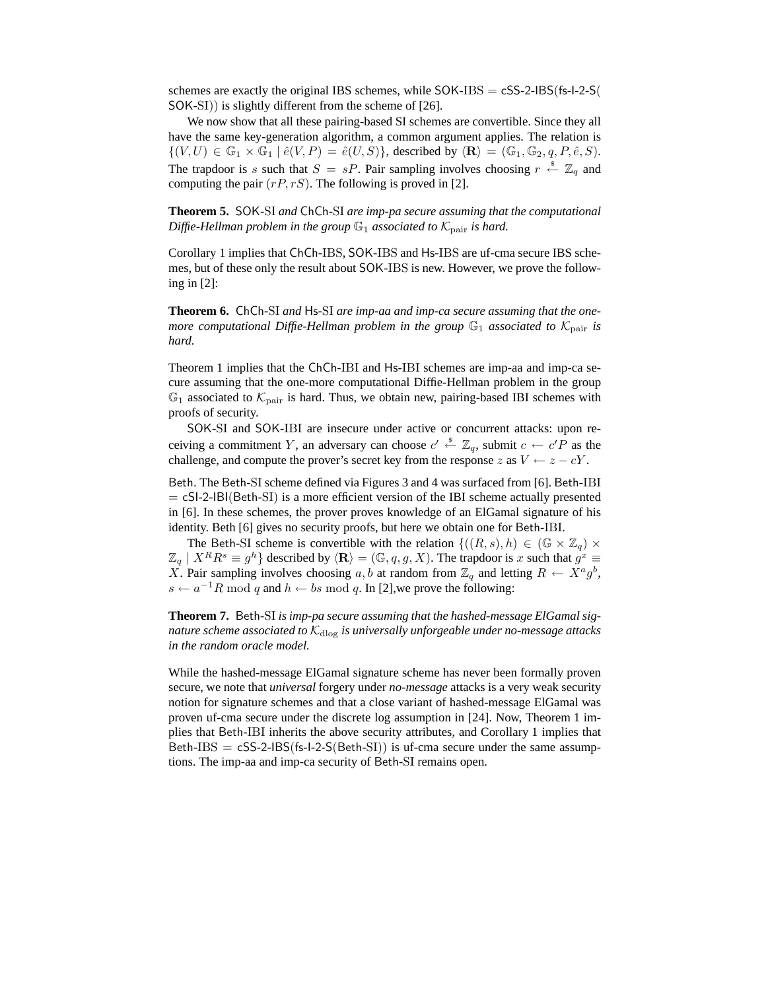schemes are exactly the original IBS schemes, while  $SOK-IBS = cSS-2-IBS(fs-1-2-S(j-1))$ SOK-SI)) is slightly different from the scheme of [26].

We now show that all these pairing-based SI schemes are convertible. Since they all have the same key-generation algorithm, a common argument applies. The relation is  $\{(V, U) \in \mathbb{G}_1 \times \mathbb{G}_1 \mid \hat{e}(V, P) = \hat{e}(U, S)\},$  described by  $\langle \mathbf{R} \rangle = (\mathbb{G}_1, \mathbb{G}_2, q, P, \hat{e}, S)$ . The trapdoor is s such that  $S = sP$ . Pair sampling involves choosing  $r \stackrel{\$}{\leftarrow} \mathbb{Z}_q$  and computing the pair  $(rP, rS)$ . The following is proved in [2].

**Theorem 5.** SOK*-*SI *and* ChCh*-*SI *are imp-pa secure assuming that the computational Diffie-Hellman problem in the group*  $\mathbb{G}_1$  *associated to*  $\mathcal{K}_{\text{pair}}$  *is hard.* 

Corollary 1 implies that ChCh-IBS, SOK-IBS and Hs-IBS are uf-cma secure IBS schemes, but of these only the result about SOK-IBS is new. However, we prove the following in [2]:

**Theorem 6.** ChCh*-*SI *and* Hs*-*SI *are imp-aa and imp-ca secure assuming that the onemore computational Diffie-Hellman problem in the group*  $\mathbb{G}_1$  *associated to*  $\mathcal{K}_{\text{pair}}$  *is hard.*

Theorem 1 implies that the ChCh-IBI and Hs-IBI schemes are imp-aa and imp-ca secure assuming that the one-more computational Diffie-Hellman problem in the group  $\mathbb{G}_1$  associated to  $\mathcal{K}_{\text{pair}}$  is hard. Thus, we obtain new, pairing-based IBI schemes with proofs of security.

SOK-SI and SOK-IBI are insecure under active or concurrent attacks: upon receiving a commitment Y, an adversary can choose  $c' \stackrel{\hspace{0.1em}\mathsf{\scriptscriptstyle\$}}{\leftarrow} \mathbb{Z}_q$ , submit  $c \leftarrow c'P$  as the challenge, and compute the prover's secret key from the response z as  $V \leftarrow z - cY$ .

Beth. The Beth-SI scheme defined via Figures 3 and 4 was surfaced from [6]. Beth-IBI  $= cSI-2-IBI(Beth-SI)$  is a more efficient version of the IBI scheme actually presented in [6]. In these schemes, the prover proves knowledge of an ElGamal signature of his identity. Beth [6] gives no security proofs, but here we obtain one for Beth-IBI.

The Beth-SI scheme is convertible with the relation  $\{(R, s), h) \in (\mathbb{G} \times \mathbb{Z}_q) \times$  $\mathbb{Z}_q$  |  $X^R R^s \equiv g^h$ } described by  $\langle \mathbf{R} \rangle = (\mathbb{G}, q, g, X)$ . The trapdoor is x such that  $g^x \equiv g^x$ X. Pair sampling involves choosing a, b at random from  $\mathbb{Z}_q$  and letting  $R \leftarrow X^a g^b$ ,  $s \leftarrow a^{-1}R \mod q$  and  $h \leftarrow bs \mod q$ . In [2], we prove the following:

**Theorem 7.** Beth*-*SI *is imp-pa secure assuming that the hashed-message ElGamal signature scheme associated to*  $K_{\text{dlog}}$  *is universally unforgeable under no-message attacks in the random oracle model.*

While the hashed-message ElGamal signature scheme has never been formally proven secure, we note that *universal* forgery under *no-message* attacks is a very weak security notion for signature schemes and that a close variant of hashed-message ElGamal was proven uf-cma secure under the discrete log assumption in [24]. Now, Theorem 1 implies that Beth-IBI inherits the above security attributes, and Corollary 1 implies that Beth-IBS  $= c$ SS-2-IBS(fs-I-2-S(Beth-SI)) is uf-cma secure under the same assumptions. The imp-aa and imp-ca security of Beth-SI remains open.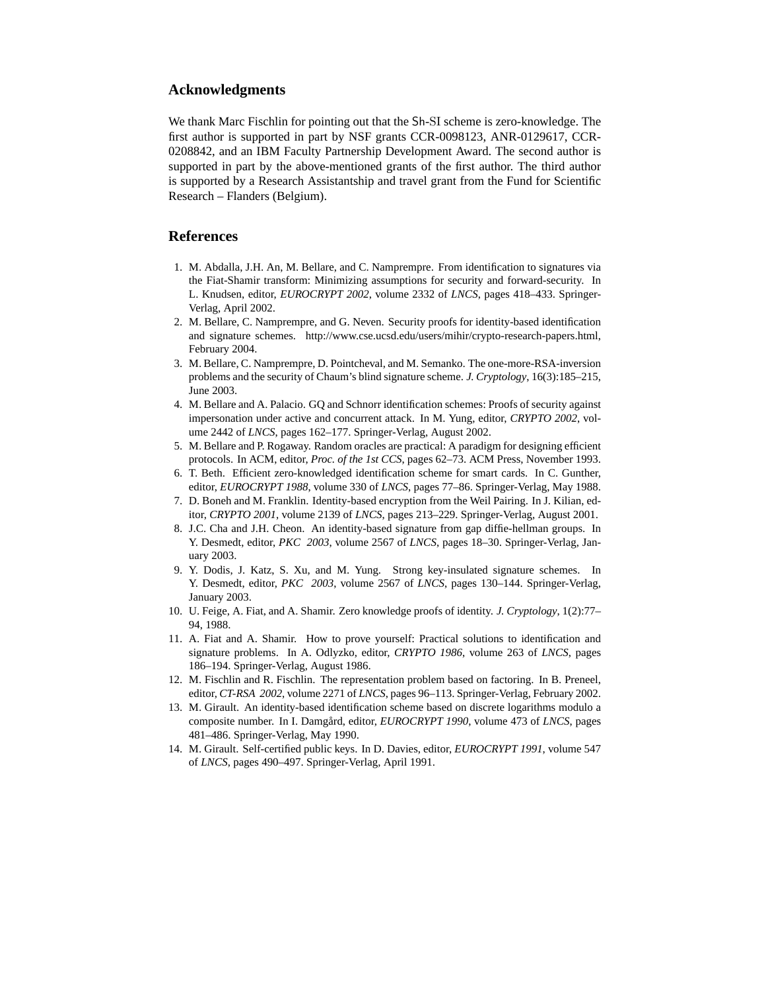## **Acknowledgments**

We thank Marc Fischlin for pointing out that the Sh-SI scheme is zero-knowledge. The first author is supported in part by NSF grants CCR-0098123, ANR-0129617, CCR-0208842, and an IBM Faculty Partnership Development Award. The second author is supported in part by the above-mentioned grants of the first author. The third author is supported by a Research Assistantship and travel grant from the Fund for Scientific Research – Flanders (Belgium).

## **References**

- 1. M. Abdalla, J.H. An, M. Bellare, and C. Namprempre. From identification to signatures via the Fiat-Shamir transform: Minimizing assumptions for security and forward-security. In L. Knudsen, editor, *EUROCRYPT 2002*, volume 2332 of *LNCS*, pages 418–433. Springer-Verlag, April 2002.
- 2. M. Bellare, C. Namprempre, and G. Neven. Security proofs for identity-based identification and signature schemes. http://www.cse.ucsd.edu/users/mihir/crypto-research-papers.html, February 2004.
- 3. M. Bellare, C. Namprempre, D. Pointcheval, and M. Semanko. The one-more-RSA-inversion problems and the security of Chaum's blind signature scheme. *J. Cryptology*, 16(3):185–215, June 2003.
- 4. M. Bellare and A. Palacio. GQ and Schnorr identification schemes: Proofs of security against impersonation under active and concurrent attack. In M. Yung, editor, *CRYPTO 2002*, volume 2442 of *LNCS*, pages 162–177. Springer-Verlag, August 2002.
- 5. M. Bellare and P. Rogaway. Random oracles are practical: A paradigm for designing efficient protocols. In ACM, editor, *Proc. of the 1st CCS*, pages 62–73. ACM Press, November 1993.
- 6. T. Beth. Efficient zero-knowledged identification scheme for smart cards. In C. Gunther, editor, *EUROCRYPT 1988*, volume 330 of *LNCS*, pages 77–86. Springer-Verlag, May 1988.
- 7. D. Boneh and M. Franklin. Identity-based encryption from the Weil Pairing. In J. Kilian, editor, *CRYPTO 2001*, volume 2139 of *LNCS*, pages 213–229. Springer-Verlag, August 2001.
- 8. J.C. Cha and J.H. Cheon. An identity-based signature from gap diffie-hellman groups. In Y. Desmedt, editor, *PKC 2003*, volume 2567 of *LNCS*, pages 18–30. Springer-Verlag, January 2003.
- 9. Y. Dodis, J. Katz, S. Xu, and M. Yung. Strong key-insulated signature schemes. In Y. Desmedt, editor, *PKC 2003*, volume 2567 of *LNCS*, pages 130–144. Springer-Verlag, January 2003.
- 10. U. Feige, A. Fiat, and A. Shamir. Zero knowledge proofs of identity. *J. Cryptology*, 1(2):77– 94, 1988.
- 11. A. Fiat and A. Shamir. How to prove yourself: Practical solutions to identification and signature problems. In A. Odlyzko, editor, *CRYPTO 1986*, volume 263 of *LNCS*, pages 186–194. Springer-Verlag, August 1986.
- 12. M. Fischlin and R. Fischlin. The representation problem based on factoring. In B. Preneel, editor, *CT-RSA 2002*, volume 2271 of *LNCS*, pages 96–113. Springer-Verlag, February 2002.
- 13. M. Girault. An identity-based identification scheme based on discrete logarithms modulo a composite number. In I. Damgard, editor, *EUROCRYPT 1990*, volume 473 of *LNCS*, pages 481–486. Springer-Verlag, May 1990.
- 14. M. Girault. Self-certified public keys. In D. Davies, editor, *EUROCRYPT 1991*, volume 547 of *LNCS*, pages 490–497. Springer-Verlag, April 1991.